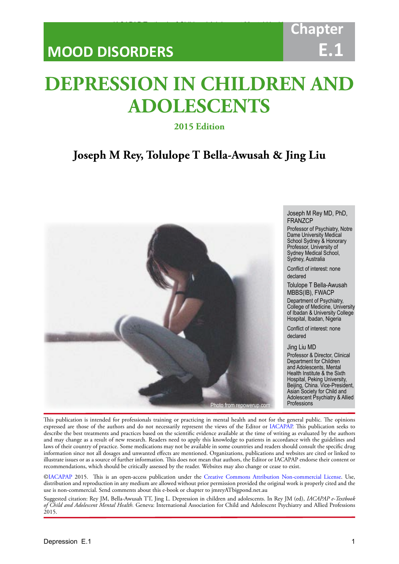## **MOOD DISORDERS**

# **Chapter E.1**

# **DEPRESSION IN CHILDREN AND ADOLESCENTS**

IACAPAP Textbook of Child and Adolescent Mental Health

## **2015 Edition**

## **Joseph M Rey, Tolulope T Bella-Awusah & Jing Liu**



Joseph M Rey MD, PhD, FRANZCP

Professor of Psychiatry, Notre Dame University Medical School Sydney & Honorary Professor, University of Sydney Medical School, Sydney, Australia

Conflict of interest: none declared

Tolulope T Bella-Awusah MBBS(IB), FWACP

Department of Psychiatry, College of Medicine, University of Ibadan & University College Hospital, Ibadan, Nigeria

Conflict of interest: none declared

#### Jing Liu MD

Professor & Director, Clinical Department for Children and Adolescents, Mental Health Institute & the Sixth Hospital, Peking University, Beijing, China. Vice-President, Asian Society for Child and Adolescent Psychiatry & Allied Professions

This publication is intended for professionals training or practicing in mental health and not for the general public. The opinions expressed are those of the authors and do not necessarily represent the views of the Editor or [IACAPAP](http://iacapap.org). This publication seeks to describe the best treatments and practices based on the scientific evidence available at the time of writing as evaluated by the authors and may change as a result of new research. Readers need to apply this knowledge to patients in accordance with the guidelines and laws of their country of practice. Some medications may not be available in some countries and readers should consult the specific drug information since not all dosages and unwanted effects are mentioned. Organizations, publications and websites are cited or linked to illustrate issues or as a source of further information. This does not mean that authors, the Editor or IACAPAP endorse their content or recommendations, which should be critically assessed by the reader. Websites may also change or cease to exist.

[©IACAPAP](http://iacapap.org) 2015. This is an open-access publication under the [Creative Commons Attribution Non-commercial License](http://creativecommons.org). Use, distribution and reproduction in any medium are allowed without prior permission provided the original work is properly cited and the use is non-commercial. Send comments about this e-book or chapter to jmreyATbigpond.net.au

Suggested citation: Rey JM, Bella-Awusah TT, Jing L. Depression in children and adolescents. In Rey JM (ed), *IACAPAP e-Textbook of Child and Adolescent Mental Health.* Geneva: International Association for Child and Adolescent Psychiatry and Allied Professions 2015.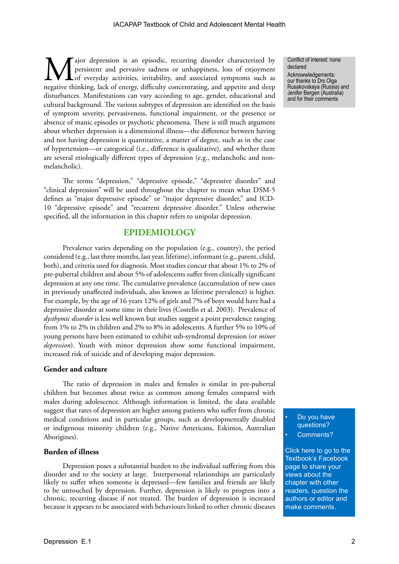ajor depression is an episodic, recurring disorder characterized by persistent and pervasive sadness or unhappiness, loss of enjoyment Lof everyday activities, irritability, and associated symptoms such as negative thinking, lack of energy, difficulty concentrating, and appetite and sleep disturbances. Manifestations can vary according to age, gender, educational and cultural background. The various subtypes of depression are identified on the basis of symptom severity, pervasiveness, functional impairment, or the presence or absence of manic episodes or psychotic phenomena. There is still much argument about whether depression is a dimensional illness—the difference between having and not having depression is quantitative, a matter of degree, such as in the case of hypertension—or categorical (i.e., difference is qualitative), and whether there are several etiologically different types of depression (e.g., melancholic and nonmelancholic).

The terms "depression," "depressive episode," "depressive disorder" and "clinical depression" will be used throughout the chapter to mean what DSM-5 defines as "major depressive episode" or "major depressive disorder," and ICD-10 "depressive episode" and "recurrent depressive disorder." Unless otherwise specified, all the information in this chapter refers to unipolar depression.

## **EPIDEMIOLOGY**

Prevalence varies depending on the population (e.g., country), the period considered (e.g., last three months, last year, lifetime), informant (e.g., parent, child, both), and criteria used for diagnosis. Most studies concur that about 1% to 2% of pre-pubertal children and about 5% of adolescents suffer from clinically significant depression at any one time. The cumulative prevalence (accumulation of new cases in previously unaffected individuals, also known as lifetime prevalence) is higher. For example, by the age of 16 years 12% of girls and 7% of boys would have had a depressive disorder at some time in their lives (Costello et al. 2003). Prevalence of *dysthymic disorder* is less well known but studies suggest a point prevalence ranging from 1% to 2% in children and 2% to 8% in adolescents. A further 5% to 10% of young persons have been estimated to exhibit sub-syndromal depression (or *minor depression*). Youth with minor depression show some functional impairment, increased risk of suicide and of developing major depression.

#### **Gender and culture**

The ratio of depression in males and females is similar in pre-pubertal children but becomes about twice as common among females compared with males during adolescence. Although information is limited, the data available suggest that rates of depression are higher among patients who suffer from chronic medical conditions and in particular groups, such as developmentally disabled or indigenous minority children (e.g., Native Americans, Eskimos, Australian Aborigines).

#### **Burden of illness**

Depression poses a substantial burden to the individual suffering from this disorder and to the society at large. Interpersonal relationships are particularly likely to suffer when someone is depressed—few families and friends are likely to be untouched by depression. Further, depression is likely to progress into a chronic, recurring disease if not treated. The burden of depression is increased because it appears to be associated with behaviours linked to other chronic diseases

Conflict of interest: none declared

Acknowwledgements: our thanks to Drs Olga Rusakovskaya (Russia) and Jenifer Bergen (Australia) and for their comments

Do you have questions? Comments?

[Click here to go to the](https://www.facebook.com/pages/IACAPAP-Textbook-of-Child-and-Adolescent-Mental-Health/249690448525378)  Textbook's Facebook page to share your views about the chapter with other readers, question the authors or editor and make comments.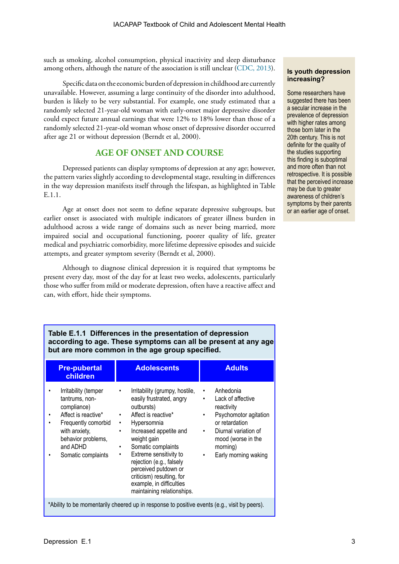such as smoking, alcohol consumption, physical inactivity and sleep disturbance among others, although the nature of the association is still unclear [\(CDC, 2013\)](http://www.cdc.gov/mentalhealth/basics/mental-illness/depression.htm).

Specific data on the economic burden of depression in childhood are currently unavailable. However, assuming a large continuity of the disorder into adulthood, burden is likely to be very substantial. For example, one study estimated that a randomly selected 21-year-old woman with early-onset major depressive disorder could expect future annual earnings that were 12% to 18% lower than those of a randomly selected 21-year-old woman whose onset of depressive disorder occurred after age 21 or without depression (Berndt et al, 2000).

## **AGE OF ONSET AND COURSE**

Depressed patients can display symptoms of depression at any age; however, the pattern varies slightly according to developmental stage, resulting in differences in the way depression manifests itself through the lifespan, as highlighted in Table E.1.1.

Age at onset does not seem to define separate depressive subgroups, but earlier onset is associated with multiple indicators of greater illness burden in adulthood across a wide range of domains such as never being married, more impaired social and occupational functioning, poorer quality of life, greater medical and psychiatric comorbidity, more lifetime depressive episodes and suicide attempts, and greater symptom severity (Berndt et al, 2000).

Although to diagnose clinical depression it is required that symptoms be present every day, most of the day for at least two weeks, adolescents, particularly those who suffer from mild or moderate depression, often have a reactive affect and can, with effort, hide their symptoms.

#### **Is youth depression increasing?**

Some researchers have suggested there has been a secular increase in the prevalence of depression with higher rates among those born later in the 20th century. This is not definite for the quality of the studies supporting this finding is suboptimal and more often than not retrospective. It is possible that the perceived increase may be due to greater awareness of children's symptoms by their parents or an earlier age of onset.

#### **Table E.1.1 Differences in the presentation of depression according to age. These symptoms can all be present at any age but are more common in the age group specified.**

| <b>Pre-pubertal</b><br>children                                                                                                                                                        | <b>Adolescents</b>                                                                                                                                                                                                                                                                                                                                                                                                           | <b>Adults</b>                                                                                                                                                                                      |  |  |
|----------------------------------------------------------------------------------------------------------------------------------------------------------------------------------------|------------------------------------------------------------------------------------------------------------------------------------------------------------------------------------------------------------------------------------------------------------------------------------------------------------------------------------------------------------------------------------------------------------------------------|----------------------------------------------------------------------------------------------------------------------------------------------------------------------------------------------------|--|--|
| Irritability (temper<br>tantrums, non-<br>compliance)<br>Affect is reactive*<br>٠<br>Frequently comorbid<br>٠<br>with anxiety,<br>behavior problems,<br>and ADHD<br>Somatic complaints | Irritability (grumpy, hostile,<br>$\bullet$<br>easily frustrated, angry<br>outbursts)<br>Affect is reactive*<br>$\bullet$ .<br>Hypersomnia<br>$\bullet$ .<br>Increased appetite and<br>$\bullet$<br>weight gain<br>Somatic complaints<br>$\bullet$<br>Extreme sensitivity to<br>٠<br>rejection (e.g., falsely<br>perceived putdown or<br>criticism) resulting, for<br>example, in difficulties<br>maintaining relationships. | Anhedonia<br>٠<br>Lack of affective<br>٠<br>reactivity<br>Psychomotor agitation<br>٠<br>or retardation<br>Diurnal variation of<br>٠<br>mood (worse in the<br>morning)<br>Early morning waking<br>٠ |  |  |
| *Ability to be momentarily cheered up in response to positive events (e.g., visit by peers).                                                                                           |                                                                                                                                                                                                                                                                                                                                                                                                                              |                                                                                                                                                                                                    |  |  |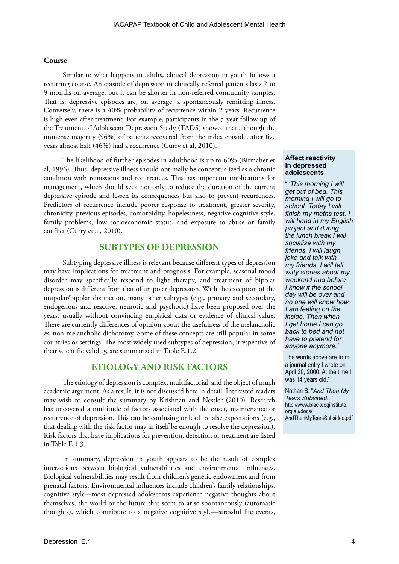#### **Course**

Similar to what happens in adults, clinical depression in youth follows a recurring course. An episode of depression in clinically referred patients lasts 7 to 9 months on average, but it can be shorter in non-referred community samples. That is, depressive episodes are, on average, a spontaneously remitting illness. Conversely, there is a 40% probability of recurrence within 2 years. Recurrence is high even after treatment. For example, participants in the 5-year follow up of the Treatment of Adolescent Depression Study (TADS) showed that although the immense majority (96%) of patients recovered from the index episode, after five years almost half (46%) had a recurrence (Curry et al, 2010).

The likelihood of further episodes in adulthood is up to 60% (Birmaher et al, 1996). Thus, depressive illness should optimally be conceptualized as a chronic condition with remissions and recurrences. This has important implications for management, which should seek not only to reduce the duration of the current depressive episode and lessen its consequences but also to prevent recurrences. Predictors of recurrence include poorer response to treatment, greater severity, chronicity, previous episodes, comorbidity, hopelessness, negative cognitive style, family problems, low socioeconomic status, and exposure to abuse or family conflict (Curry et al, 2010).

## **SUBTYPES OF DEPRESSION**

Subtyping depressive illness is relevant because different types of depression may have implications for treatment and prognosis. For example, seasonal mood disorder may specifically respond to light therapy, and treatment of bipolar depression is different from that of unipolar depression. With the exception of the unipolar/bipolar distinction, many other subtypes (e.g., primary and secondary, endogenous and reactive, neurotic and psychotic) have been proposed over the years, usually without convincing empirical data or evidence of clinical value. There are currently differences of opinion about the usefulness of the melancholic *vs*. non-melancholic dichotomy. Some of these concepts are still popular in some countries or settings. The most widely used subtypes of depression, irrespective of their scientific validity, are summarized in Table E.1.2.

## **ETIOLOGY AND RISK FACTORS**

The etiology of depression is complex, multifactorial, and the object of much academic argument. As a result, it is not discussed here in detail. Interested readers may wish to consult the summary by Krishnan and Nestler (2010). Research has uncovered a multitude of factors associated with the onset, maintenance or recurrence of depression. This can be confusing or lead to false expectations (e.g., that dealing with the risk factor may in itself be enough to resolve the depression). Risk factors that have implications for prevention, detection or treatment are listed in Table E.1.3.

In summary, depression in youth appears to be the result of complex interactions between biological vulnerabilities and environmental influences. Biological vulnerabilities may result from children's genetic endowment and from prenatal factors. Environmental influences include children's family relationships, cognitive style—most depressed adolescents experience negative thoughts about themselves, the world or the future that seem to arise spontaneously (automatic thoughts), which contribute to a negative cognitive style—stressful life events,

#### **Affect reactivity in depressed adolescents**

" *'This morning I will get out of bed. This morning I will go to school. Today I will finish my maths test. I will hand in my English project and during the lunch break I will socialize with my friends. I will laugh, joke and talk with my friends. I will tell witty stories about my weekend and before I know it the school day will be over and no one will know how I am feeling on the inside. Then when I get home I can go back to bed and not have to pretend for anyone anymore.'*

The words above are from a journal entry I wrote on April 20, 2000. At the time I was 14 years old."

Nathan B. "*And Then My Tears Subsided..*." http://www.blackdoginstitute. org.au/docs/ AndThenMyTearsSubsided.pdf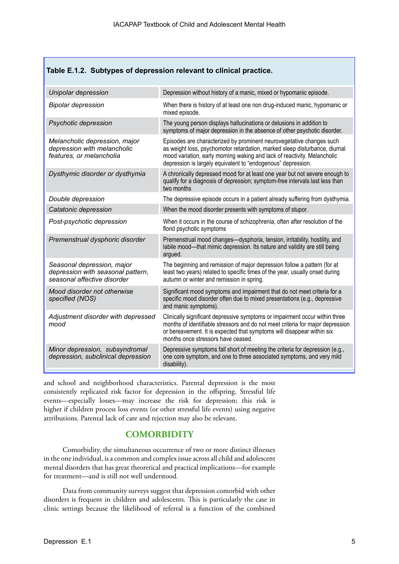#### **Table E.1.2. Subtypes of depression relevant to clinical practice.**

| Unipolar depression                                                                            | Depression without history of a manic, mixed or hypomanic episode.                                                                                                                                                                                                                             |
|------------------------------------------------------------------------------------------------|------------------------------------------------------------------------------------------------------------------------------------------------------------------------------------------------------------------------------------------------------------------------------------------------|
| <b>Bipolar depression</b>                                                                      | When there is history of at least one non drug-induced manic, hypomanic or<br>mixed episode.                                                                                                                                                                                                   |
| Psychotic depression                                                                           | The young person displays hallucinations or delusions in addition to<br>symptoms of major depression in the absence of other psychotic disorder.                                                                                                                                               |
| Melancholic depression, major<br>depression with melancholic<br>features, or melancholia       | Episodes are characterized by prominent neurovegetative changes such<br>as weight loss, psychomotor retardation, marked sleep disturbance, diurnal<br>mood variation, early morning waking and lack of reactivity. Melancholic<br>depression is largely equivalent to "endogenous" depression. |
| Dysthymic disorder or dysthymia                                                                | A chronically depressed mood for at least one year but not severe enough to<br>qualify for a diagnosis of depression; symptom-free intervals last less than<br>two months                                                                                                                      |
| Double depression                                                                              | The depressive episode occurs in a patient already suffering from dysthymia.                                                                                                                                                                                                                   |
| Catatonic depression                                                                           | When the mood disorder presents with symptoms of stupor.                                                                                                                                                                                                                                       |
| Post-psychotic depression                                                                      | When it occurs in the course of schizophrenia, often after resolution of the<br>florid psychotic symptoms                                                                                                                                                                                      |
| Premenstrual dysphoric disorder                                                                | Premenstrual mood changes-dysphoria, tension, irritability, hostility, and<br>labile mood-that mimic depression. Its nature and validity are still being<br>argued.                                                                                                                            |
| Seasonal depression, major<br>depression with seasonal pattern,<br>seasonal affective disorder | The beginning and remission of major depression follow a pattern (for at<br>least two years) related to specific times of the year, usually onset during<br>autumn or winter and remission in spring.                                                                                          |
| Mood disorder not otherwise<br>specified (NOS)                                                 | Significant mood symptoms and impairment that do not meet criteria for a<br>specific mood disorder often due to mixed presentations (e.g., depressive<br>and manic symptoms).                                                                                                                  |
| Adjustment disorder with depressed<br>mood                                                     | Clinically significant depressive symptoms or impairment occur within three<br>months of identifiable stressors and do not meet criteria for major depression<br>or bereavement. It is expected that symptoms will disappear within six<br>months once stressors have ceased.                  |
| Minor depression, subsyndromal<br>depression, subclinical depression                           | Depressive symptoms fall short of meeting the criteria for depression (e.g.,<br>one core symptom, and one to three associated symptoms, and very mild<br>disability).                                                                                                                          |

and school and neighborhood characteristics. Parental depression is the most consistently replicated risk factor for depression in the offspring. Stressful life events—especially losses—may increase the risk for depression; this risk is higher if children process loss events (or other stressful life events) using negative attributions. Parental lack of care and rejection may also be relevant.

## **COMORBIDITY**

Comorbidity, the simultaneous occurrence of two or more distinct illnesses in the one individual, is a common and complex issue across all child and adolescent mental disorders that has great theoretical and practical implications—for example for treatment—and is still not well understood.

Data from community surveys suggest that depression comorbid with other disorders is frequent in children and adolescents. This is particularly the case in clinic settings because the likelihood of referral is a function of the combined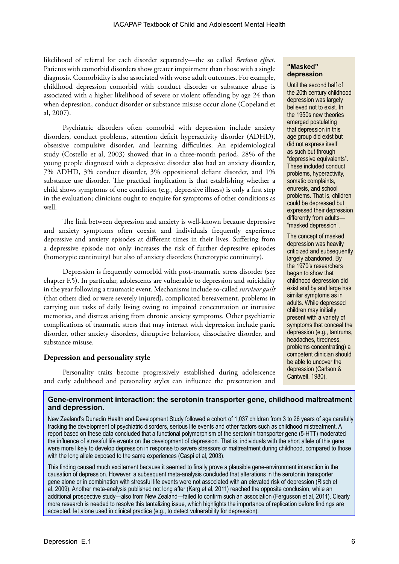likelihood of referral for each disorder separately—the so called *Berkson effect*. Patients with comorbid disorders show greater impairment than those with a single diagnosis. Comorbidity is also associated with worse adult outcomes. For example, childhood depression comorbid with conduct disorder or substance abuse is associated with a higher likelihood of severe or violent offending by age 24 than when depression, conduct disorder or substance misuse occur alone (Copeland et al, 2007).

Psychiatric disorders often comorbid with depression include anxiety disorders, conduct problems, attention deficit hyperactivity disorder (ADHD), obsessive compulsive disorder, and learning difficulties. An epidemiological study (Costello et al, 2003) showed that in a three-month period, 28% of the young people diagnosed with a depressive disorder also had an anxiety disorder, 7% ADHD, 3% conduct disorder, 3% oppositional defiant disorder, and 1% substance use disorder. The practical implication is that establishing whether a child shows symptoms of one condition (e.g., depressive illness) is only a first step in the evaluation; clinicians ought to enquire for symptoms of other conditions as well.

The link between depression and anxiety is well-known because depressive and anxiety symptoms often coexist and individuals frequently experience depressive and anxiety episodes at different times in their lives. Suffering from a depressive episode not only increases the risk of further depressive episodes (homotypic continuity) but also of anxiety disorders (heterotypic continuity).

Depression is frequently comorbid with post-traumatic stress disorder (see chapter F.5). In particular, adolescents are vulnerable to depression and suicidality in the year following a traumatic event. Mechanisms include so-called *survivor guilt*  (that others died or were severely injured), complicated bereavement, problems in carrying out tasks of daily living owing to impaired concentration or intrusive memories, and distress arising from chronic anxiety symptoms. Other psychiatric complications of traumatic stress that may interact with depression include panic disorder, other anxiety disorders, disruptive behaviors, dissociative disorder, and substance misuse.

#### **Depression and personality style**

Personality traits become progressively established during adolescence and early adulthood and personality styles can influence the presentation and

#### **"Masked" depression**

Until the second half of the 20th century childhood depression was largely believed not to exist. In the 1950s new theories emerged postulating that depression in this age group did exist but did not express itself as such but through "depressive equivalents". These included conduct problems, hyperactivity, somatic complaints, enuresis, and school problems. That is, children could be depressed but expressed their depression differently from adults— "masked depression".

The concept of masked depression was heavily criticized and subsequently largely abandoned. By the 1970's researchers began to show that childhood depression did exist and by and large has similar symptoms as in adults. While depressed children may initially present with a variety of symptoms that conceal the depression (e.g., tantrums, headaches, tiredness, problems concentrating) a competent clinician should be able to uncover the depression (Carlson & Cantwell, 1980).

#### **Gene-environment interaction: the serotonin transporter gene, childhood maltreatment and depression.**

New Zealand's Dunedin Health and Development Study followed a cohort of 1,037 children from 3 to 26 years of age carefully tracking the development of psychiatric disorders, serious life events and other factors such as childhood mistreatment. A report based on these data concluded that a functional polymorphism of the serotonin transporter gene (5-HTT) moderated the influence of stressful life events on the development of depression. That is, individuals with the short allele of this gene were more likely to develop depression in response to severe stressors or maltreatment during childhood, compared to those with the long allele exposed to the same experiences (Caspi et al, 2003).

This finding caused much excitement because it seemed to finally prove a plausible gene-environment interaction in the causation of depression. However, a subsequent meta-analysis concluded that alterations in the serotonin transporter gene alone or in combination with stressful life events were not associated with an elevated risk of depression (Risch et al, 2009). Another meta-analysis published not long after (Karg et al, 2011) reached the opposite conclusion, while an additional prospective study—also from New Zealand—failed to confirm such an association (Fergusson et al, 2011). Clearly more research is needed to resolve this tantalizing issue, which highlights the importance of replication before findings are accepted, let alone used in clinical practice (e.g., to detect vulnerability for depression).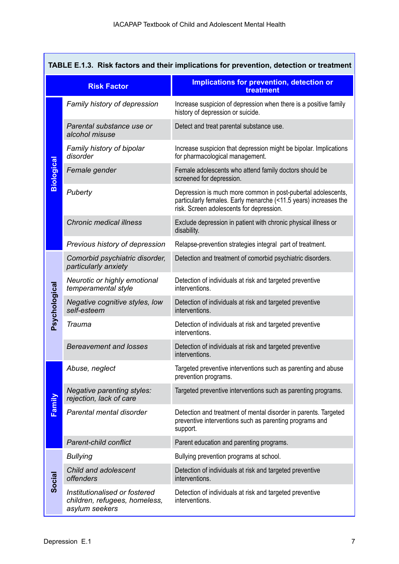| TABLE E.1.3. Risk factors and their implications for prevention, detection or treatment |                                                                                  |                                                                                                                                                                              |  |  |
|-----------------------------------------------------------------------------------------|----------------------------------------------------------------------------------|------------------------------------------------------------------------------------------------------------------------------------------------------------------------------|--|--|
|                                                                                         | <b>Risk Factor</b>                                                               | Implications for prevention, detection or<br>treatment                                                                                                                       |  |  |
|                                                                                         | Family history of depression                                                     | Increase suspicion of depression when there is a positive family<br>history of depression or suicide.                                                                        |  |  |
|                                                                                         | Parental substance use or<br>alcohol misuse                                      | Detect and treat parental substance use.                                                                                                                                     |  |  |
|                                                                                         | Family history of bipolar<br>disorder                                            | Increase suspicion that depression might be bipolar. Implications<br>for pharmacological management.                                                                         |  |  |
| Biological                                                                              | Female gender                                                                    | Female adolescents who attend family doctors should be<br>screened for depression.                                                                                           |  |  |
|                                                                                         | Puberty                                                                          | Depression is much more common in post-pubertal adolescents,<br>particularly females. Early menarche (<11.5 years) increases the<br>risk. Screen adolescents for depression. |  |  |
|                                                                                         | <b>Chronic medical illness</b>                                                   | Exclude depression in patient with chronic physical illness or<br>disability.                                                                                                |  |  |
|                                                                                         | Previous history of depression                                                   | Relapse-prevention strategies integral part of treatment.                                                                                                                    |  |  |
|                                                                                         | Comorbid psychiatric disorder,<br>particularly anxiety                           | Detection and treatment of comorbid psychiatric disorders.                                                                                                                   |  |  |
|                                                                                         | Neurotic or highly emotional<br>temperamental style                              | Detection of individuals at risk and targeted preventive<br>interventions.                                                                                                   |  |  |
| Psychological                                                                           | Negative cognitive styles, low<br>self-esteem                                    | Detection of individuals at risk and targeted preventive<br>interventions.                                                                                                   |  |  |
|                                                                                         | Trauma                                                                           | Detection of individuals at risk and targeted preventive<br>interventions.                                                                                                   |  |  |
|                                                                                         | <b>Bereavement and losses</b>                                                    | Detection of individuals at risk and targeted preventive<br>interventions.                                                                                                   |  |  |
|                                                                                         | Abuse, neglect                                                                   | Targeted preventive interventions such as parenting and abuse<br>prevention programs.                                                                                        |  |  |
|                                                                                         | Negative parenting styles:<br>rejection, lack of care                            | Targeted preventive interventions such as parenting programs.                                                                                                                |  |  |
| Family                                                                                  | Parental mental disorder                                                         | Detection and treatment of mental disorder in parents. Targeted<br>preventive interventions such as parenting programs and<br>support.                                       |  |  |
|                                                                                         | <b>Parent-child conflict</b>                                                     | Parent education and parenting programs.                                                                                                                                     |  |  |
|                                                                                         | <b>Bullying</b>                                                                  | Bullying prevention programs at school.                                                                                                                                      |  |  |
| Social                                                                                  | Child and adolescent<br>offenders                                                | Detection of individuals at risk and targeted preventive<br>interventions.                                                                                                   |  |  |
|                                                                                         | Institutionalised or fostered<br>children, refugees, homeless,<br>asylum seekers | Detection of individuals at risk and targeted preventive<br>interventions.                                                                                                   |  |  |

Г

┑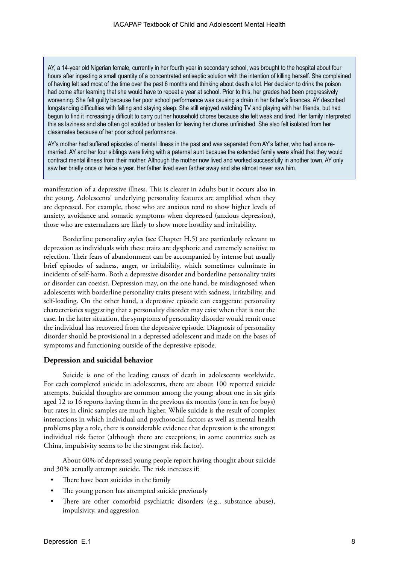AY, a 14-year old Nigerian female, currently in her fourth year in secondary school, was brought to the hospital about four hours after ingesting a small quantity of a concentrated antiseptic solution with the intention of killing herself. She complained of having felt sad most of the time over the past 6 months and thinking about death a lot. Her decision to drink the poison had come after learning that she would have to repeat a year at school. Prior to this, her grades had been progressively worsening. She felt guilty because her poor school performance was causing a drain in her father's finances. AY described longstanding difficulties with falling and staying sleep. She still enjoyed watching TV and playing with her friends, but had begun to find it increasingly difficult to carry out her household chores because she felt weak and tired. Her family interpreted this as laziness and she often got scolded or beaten for leaving her chores unfinished. She also felt isolated from her classmates because of her poor school performance.

AY's mother had suffered episodes of mental illness in the past and was separated from AY's father, who had since remarried. AY and her four siblings were living with a paternal aunt because the extended family were afraid that they would contract mental illness from their mother. Although the mother now lived and worked successfully in another town, AY only saw her briefly once or twice a year. Her father lived even farther away and she almost never saw him.

manifestation of a depressive illness. This is clearer in adults but it occurs also in the young. Adolescents' underlying personality features are amplified when they are depressed. For example, those who are anxious tend to show higher levels of anxiety, avoidance and somatic symptoms when depressed (anxious depression), those who are externalizers are likely to show more hostility and irritability.

Borderline personality styles (see Chapter H.5) are particularly relevant to depression as individuals with these traits are dysphoric and extremely sensitive to rejection. Their fears of abandonment can be accompanied by intense but usually brief episodes of sadness, anger, or irritability, which sometimes culminate in incidents of self-harm. Both a depressive disorder and borderline personality traits or disorder can coexist. Depression may, on the one hand, be misdiagnosed when adolescents with borderline personality traits present with sadness, irritability, and self-loading. On the other hand, a depressive episode can exaggerate personality characteristics suggesting that a personality disorder may exist when that is not the case. In the latter situation, the symptoms of personality disorder would remit once the individual has recovered from the depressive episode. Diagnosis of personality disorder should be provisional in a depressed adolescent and made on the bases of symptoms and functioning outside of the depressive episode.

#### **Depression and suicidal behavior**

Suicide is one of the leading causes of death in adolescents worldwide. For each completed suicide in adolescents, there are about 100 reported suicide attempts. Suicidal thoughts are common among the young; about one in six girls aged 12 to 16 reports having them in the previous six months (one in ten for boys) but rates in clinic samples are much higher. While suicide is the result of complex interactions in which individual and psychosocial factors as well as mental health problems play a role, there is considerable evidence that depression is the strongest individual risk factor (although there are exceptions; in some countries such as China, impulsivity seems to be the strongest risk factor).

About 60% of depressed young people report having thought about suicide and 30% actually attempt suicide. The risk increases if:

- There have been suicides in the family
- The young person has attempted suicide previously
- There are other comorbid psychiatric disorders (e.g., substance abuse), impulsivity, and aggression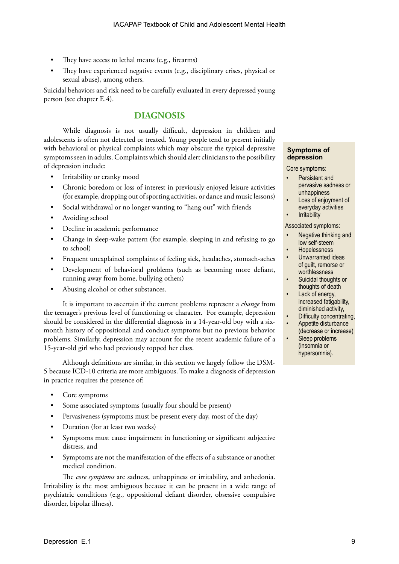- They have access to lethal means (e.g., firearms)
- They have experienced negative events (e.g., disciplinary crises, physical or sexual abuse), among others.

Suicidal behaviors and risk need to be carefully evaluated in every depressed young person (see chapter E.4).

## **DIAGNOSIS**

While diagnosis is not usually difficult, depression in children and adolescents is often not detected or treated. Young people tend to present initially with behavioral or physical complaints which may obscure the typical depressive symptoms seen in adults. Complaints which should alert clinicians to the possibility of depression include:

- Irritability or cranky mood
- Chronic boredom or loss of interest in previously enjoyed leisure activities (for example, dropping out of sporting activities, or dance and music lessons)
- Social withdrawal or no longer wanting to "hang out" with friends
- Avoiding school
- Decline in academic performance
- Change in sleep-wake pattern (for example, sleeping in and refusing to go to school)
- Frequent unexplained complaints of feeling sick, headaches, stomach-aches
- Development of behavioral problems (such as becoming more defiant, running away from home, bullying others)
- Abusing alcohol or other substances.

It is important to ascertain if the current problems represent a *change* from the teenager's previous level of functioning or character. For example, depression should be considered in the differential diagnosis in a 14-year-old boy with a sixmonth history of oppositional and conduct symptoms but no previous behavior problems. Similarly, depression may account for the recent academic failure of a 15-year-old girl who had previously topped her class.

Although definitions are similar, in this section we largely follow the DSM-5 because ICD-10 criteria are more ambiguous. To make a diagnosis of depression in practice requires the presence of:

- Core symptoms
- Some associated symptoms (usually four should be present)
- Pervasiveness (symptoms must be present every day, most of the day)
- Duration (for at least two weeks)
- Symptoms must cause impairment in functioning or significant subjective distress, and
- Symptoms are not the manifestation of the effects of a substance or another medical condition.

The *core symptoms* are sadness, unhappiness or irritability, and anhedonia. Irritability is the most ambiguous because it can be present in a wide range of psychiatric conditions (e.g., oppositional defiant disorder, obsessive compulsive disorder, bipolar illness).

#### **Symptoms of depression**

Core symptoms:

- Persistent and pervasive sadness or unhappiness
- Loss of enjoyment of everyday activities
- **Irritability**

#### Associated symptoms:

- Negative thinking and low self-steem
- Hopelessness
- Unwarranted ideas of guilt, remorse or worthlessness
- Suicidal thoughts or thoughts of death
- Lack of energy, increased fatigability, diminished activity,
- Difficulty concentrating,
- Appetite disturbance
- (decrease or increase) Sleep problems
	- (insomnia or hypersomnia).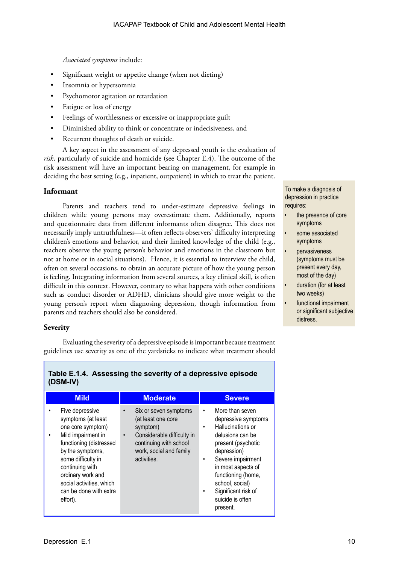*Associated symptoms* include:

- Significant weight or appetite change (when not dieting)
- Insomnia or hypersomnia
- Psychomotor agitation or retardation
- Fatigue or loss of energy
- Feelings of worthlessness or excessive or inappropriate guilt
- Diminished ability to think or concentrate or indecisiveness, and
- Recurrent thoughts of death or suicide.

A key aspect in the assessment of any depressed youth is the evaluation of *risk*, particularly of suicide and homicide (see Chapter E.4). The outcome of the risk assessment will have an important bearing on management, for example in deciding the best setting (e.g., inpatient, outpatient) in which to treat the patient.

#### **Informant**

Parents and teachers tend to under-estimate depressive feelings in children while young persons may overestimate them. Additionally, reports and questionnaire data from different informants often disagree. This does not necessarily imply untruthfulness—it often reflects observers' difficulty interpreting children's emotions and behavior, and their limited knowledge of the child (e.g., teachers observe the young person's behavior and emotions in the classroom but not at home or in social situations). Hence, it is essential to interview the child, often on several occasions, to obtain an accurate picture of how the young person is feeling. Integrating information from several sources, a key clinical skill, is often difficult in this context. However, contrary to what happens with other conditions such as conduct disorder or ADHD, clinicians should give more weight to the young person's report when diagnosing depression, though information from parents and teachers should also be considered.

#### **Severity**

Evaluating the severity of a depressive episode is important because treatment guidelines use severity as one of the yardsticks to indicate what treatment should

| <b>Mild</b>                                                                                                                                                                                                                                                     | <b>Moderate</b>                                                                                                                                                                     | <b>Severe</b>                                                                                                                                                                                                                                                                          |
|-----------------------------------------------------------------------------------------------------------------------------------------------------------------------------------------------------------------------------------------------------------------|-------------------------------------------------------------------------------------------------------------------------------------------------------------------------------------|----------------------------------------------------------------------------------------------------------------------------------------------------------------------------------------------------------------------------------------------------------------------------------------|
| Five depressive<br>symptoms (at least<br>one core symptom)<br>Mild impairment in<br>functioning (distressed<br>by the symptoms,<br>some difficulty in<br>continuing with<br>ordinary work and<br>social activities, which<br>can be done with extra<br>effort). | Six or seven symptoms<br>$\bullet$<br>(at least one core<br>symptom)<br>Considerable difficulty in<br>$\bullet$<br>continuing with school<br>work, social and family<br>activities. | More than seven<br>$\bullet$<br>depressive symptoms<br>Hallucinations or<br>٠<br>delusions can be<br>present (psychotic<br>depression)<br>Severe impairment<br>٠<br>in most aspects of<br>functioning (home,<br>school, social)<br>Significant risk of<br>suicide is often<br>present. |

## **Table E.1.4. Assessing the severity of a depressive episode (DSM-IV)**

To make a diagnosis of depression in practice requires:

- the presence of core symptoms
- some associated symptoms
- **pervasiveness** (symptoms must be present every day, most of the day)
- duration (for at least two weeks)
- functional impairment or significant subjective distress.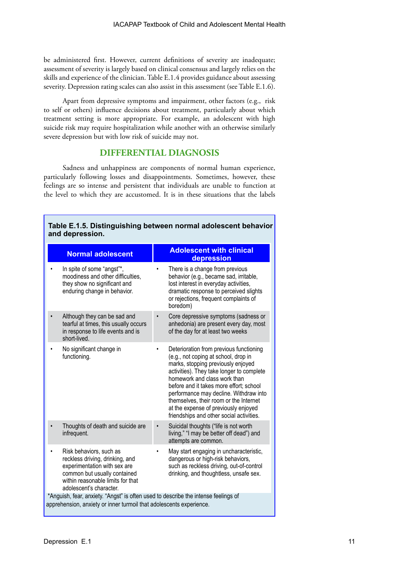be administered first. However, current definitions of severity are inadequate; assessment of severity is largely based on clinical consensus and largely relies on the skills and experience of the clinician. Table E.1.4 provides guidance about assessing severity. Depression rating scales can also assist in this assessment (see Table E.1.6).

Apart from depressive symptoms and impairment, other factors (e.g., risk to self or others) influence decisions about treatment, particularly about which treatment setting is more appropriate. For example, an adolescent with high suicide risk may require hospitalization while another with an otherwise similarly severe depression but with low risk of suicide may not.

## **DIFFERENTIAL DIAGNOSIS**

Sadness and unhappiness are components of normal human experience, particularly following losses and disappointments. Sometimes, however, these feelings are so intense and persistent that individuals are unable to function at the level to which they are accustomed. It is in these situations that the labels

| <b>Normal adolescent</b>                                                                                                                                                                   | <b>Adolescent with clinical</b><br>depression                                                                                                                                                                                                                                                                                                                                                                         |
|--------------------------------------------------------------------------------------------------------------------------------------------------------------------------------------------|-----------------------------------------------------------------------------------------------------------------------------------------------------------------------------------------------------------------------------------------------------------------------------------------------------------------------------------------------------------------------------------------------------------------------|
| In spite of some "angst"*,<br>moodiness and other difficulties,<br>they show no significant and<br>enduring change in behavior.                                                            | There is a change from previous<br>behavior (e.g., became sad, irritable,<br>lost interest in everyday activities,<br>dramatic response to perceived slights<br>or rejections, frequent complaints of<br>boredom)                                                                                                                                                                                                     |
| Although they can be sad and<br>tearful at times, this usually occurs<br>in response to life events and is<br>short-lived.                                                                 | Core depressive symptoms (sadness or<br>anhedonia) are present every day, most<br>of the day for at least two weeks                                                                                                                                                                                                                                                                                                   |
| No significant change in<br>functioning.                                                                                                                                                   | Deterioration from previous functioning<br>(e.g., not coping at school, drop in<br>marks, stopping previously enjoyed<br>activities). They take longer to complete<br>homework and class work than<br>before and it takes more effort; school<br>performance may decline. Withdraw into<br>themselves, their room or the Internet<br>at the expense of previously enjoyed<br>friendships and other social activities. |
| Thoughts of death and suicide are<br>infrequent.                                                                                                                                           | Suicidal thoughts ("life is not worth<br>living," "I may be better off dead") and<br>attempts are common.                                                                                                                                                                                                                                                                                                             |
| Risk behaviors, such as<br>reckless driving, drinking, and<br>experimentation with sex are<br>common but usually contained<br>within reasonable limits for that<br>adolescent's character. | May start engaging in uncharacteristic,<br>dangerous or high-risk behaviors,<br>such as reckless driving, out-of-control<br>drinking, and thoughtless, unsafe sex.                                                                                                                                                                                                                                                    |
| *Anguish, fear, anxiety. "Angst" is often used to describe the intense feelings of<br>apprehension, anxiety or inner turmoil that adolescents experience.                                  |                                                                                                                                                                                                                                                                                                                                                                                                                       |

**Table E.1.5. Distinguishing between normal adolescent behavior and depression.**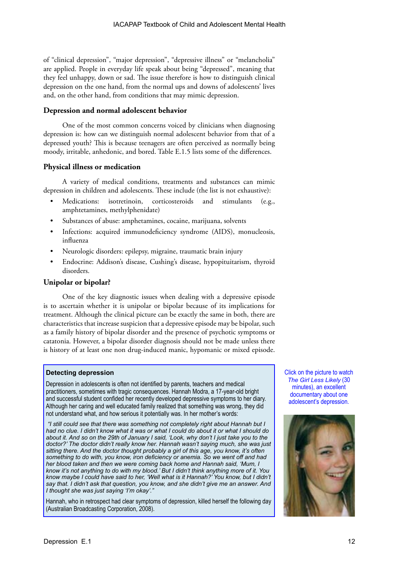of "clinical depression", "major depression", "depressive illness" or "melancholia" are applied. People in everyday life speak about being "depressed", meaning that they feel unhappy, down or sad. The issue therefore is how to distinguish clinical depression on the one hand, from the normal ups and downs of adolescents' lives and, on the other hand, from conditions that may mimic depression.

#### **Depression and normal adolescent behavior**

One of the most common concerns voiced by clinicians when diagnosing depression is: how can we distinguish normal adolescent behavior from that of a depressed youth? This is because teenagers are often perceived as normally being moody, irritable, anhedonic, and bored. Table E.1.5 lists some of the differences.

#### **Physical illness or medication**

A variety of medical conditions, treatments and substances can mimic depression in children and adolescents. These include (the list is not exhaustive):

- Medications: isotretinoin, corticosteroids and stimulants (e.g., amphtetamines, methylphenidate)
- Substances of abuse: amphetamines, cocaine, marijuana, solvents
- Infections: acquired immunodeficiency syndrome (AIDS), monucleosis, influenza
- Neurologic disorders: epilepsy, migraine, traumatic brain injury
- Endocrine: Addison's disease, Cushing's disease, hypopituitarism, thyroid disorders.

#### **Unipolar or bipolar?**

One of the key diagnostic issues when dealing with a depressive episode is to ascertain whether it is unipolar or bipolar because of its implications for treatment. Although the clinical picture can be exactly the same in both, there are characteristics that increase suspicion that a depressive episode may be bipolar, such as a family history of bipolar disorder and the presence of psychotic symptoms or catatonia. However, a bipolar disorder diagnosis should not be made unless there is history of at least one non drug-induced manic, hypomanic or mixed episode.

#### **Detecting depression**

Depression in adolescents is often not identified by parents, teachers and medical practitioners, sometimes with tragic consequences. Hannah Modra, a 17-year-old bright and successful student confided her recently developed depressive symptoms to her diary. Although her caring and well educated family realized that something was wrong, they did not understand what, and how serious it potentially was. In her mother's words:

 *"I still could see that there was something not completely right about Hannah but I had no clue. I didn't know what it was or what I could do about it or what I should do about it. And so on the 29th of January I said, 'Look, why don't I just take you to the doctor?' The doctor didn't really know her. Hannah wasn't saying much, she was just sitting there. And the doctor thought probably a girl of this age, you know, it's often something to do with, you know, iron deficiency or anemia. So we went off and had her blood taken and then we were coming back home and Hannah said, 'Mum, I know it's not anything to do with my blood.' But I didn't think anything more of it. You know maybe I could have said to her, 'Well what is it Hannah?' You know, but I didn't say that. I didn't ask that question, you know, and she didn't give me an answer. And I thought she was just saying 'I'm okay'."* 

Hannah, who in retrospect had clear symptoms of depression, killed herself the following day (Australian Broadcasting Corporation, 2008).

Click on the picture to watch *The Girl Less Likely* (30 minutes), an excellent documentary about one adolescent's depression.

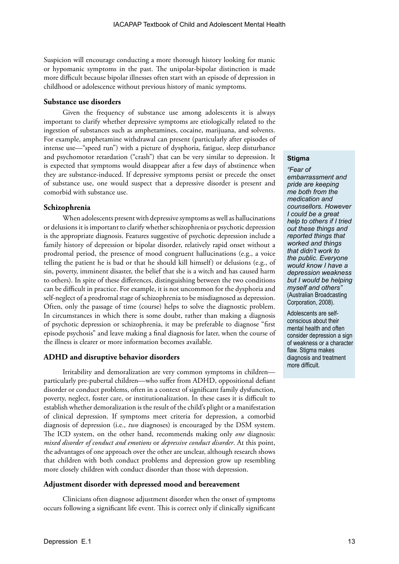Suspicion will encourage conducting a more thorough history looking for manic or hypomanic symptoms in the past. The unipolar-bipolar distinction is made more difficult because bipolar illnesses often start with an episode of depression in childhood or adolescence without previous history of manic symptoms.

#### **Substance use disorders**

Given the frequency of substance use among adolescents it is always important to clarify whether depressive symptoms are etiologically related to the ingestion of substances such as amphetamines, cocaine, marijuana, and solvents. For example, amphetamine withdrawal can present (particularly after episodes of intense use—"speed run") with a picture of dysphoria, fatigue, sleep disturbance and psychomotor retardation ("crash") that can be very similar to depression. It is expected that symptoms would disappear after a few days of abstinence when they are substance-induced. If depressive symptoms persist or precede the onset of substance use, one would suspect that a depressive disorder is present and comorbid with substance use.

#### **Schizophrenia**

When adolescents present with depressive symptoms as well as hallucinations or delusions it is important to clarify whether schizophrenia or psychotic depression is the appropriate diagnosis. Features suggestive of psychotic depression include a family history of depression or bipolar disorder, relatively rapid onset without a prodromal period, the presence of mood congruent hallucinations (e.g., a voice telling the patient he is bad or that he should kill himself) or delusions (e.g., of sin, poverty, imminent disaster, the belief that she is a witch and has caused harm to others). In spite of these differences, distinguishing between the two conditions can be difficult in practice. For example, it is not uncommon for the dysphoria and self-neglect of a prodromal stage of schizophrenia to be misdiagnosed as depression. Often, only the passage of time (course) helps to solve the diagnostic problem. In circumstances in which there is some doubt, rather than making a diagnosis of psychotic depression or schizophrenia, it may be preferable to diagnose "first episode psychosis" and leave making a final diagnosis for later, when the course of the illness is clearer or more information becomes available.

#### **ADHD and disruptive behavior disorders**

Irritability and demoralization are very common symptoms in children particularly pre-pubertal children—who suffer from ADHD, oppositional defiant disorder or conduct problems, often in a context of significant family dysfunction, poverty, neglect, foster care, or institutionalization. In these cases it is difficult to establish whether demoralization is the result of the child's plight or a manifestation of clinical depression. If symptoms meet criteria for depression, a comorbid diagnosis of depression (i.e., *two* diagnoses) is encouraged by the DSM system. The ICD system, on the other hand, recommends making only *one* diagnosis: *mixed disorder of conduct and emotions* or *depressive conduct disorder*. At this point, the advantages of one approach over the other are unclear, although research shows that children with both conduct problems and depression grow up resembling more closely children with conduct disorder than those with depression.

#### **Adjustment disorder with depressed mood and bereavement**

Clinicians often diagnose adjustment disorder when the onset of symptoms occurs following a significant life event. This is correct only if clinically significant

#### **Stigma**

*"Fear of embarrassment and pride are keeping me both from the medication and counsellors. However I could be a great help to others if I tried out these things and reported things that worked and things that didn't work to the public. Everyone would know I have a depression weakness but I would be helping myself and others"*  (Australian Broadcasting Corporation, 2008).

Adolescents are selfconscious about their mental health and often consider depression a sign of weakness or a character flaw. Stigma makes diagnosis and treatment more difficult.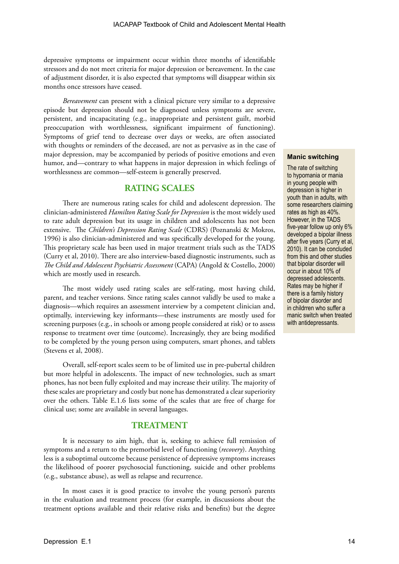depressive symptoms or impairment occur within three months of identifiable stressors and do not meet criteria for major depression or bereavement. In the case of adjustment disorder, it is also expected that symptoms will disappear within six months once stressors have ceased.

*Bereavement* can present with a clinical picture very similar to a depressive episode but depression should not be diagnosed unless symptoms are severe, persistent, and incapacitating (e.g., inappropriate and persistent guilt, morbid preoccupation with worthlessness, significant impairment of functioning). Symptoms of grief tend to decrease over days or weeks, are often associated with thoughts or reminders of the deceased, are not as pervasive as in the case of major depression, may be accompanied by periods of positive emotions and even humor, and—contrary to what happens in major depression in which feelings of worthlessness are common—self-esteem is generally preserved.

## **RATING SCALES**

There are numerous rating scales for child and adolescent depression. The clinician-administered *Hamilton Rating Scale for Depression* is the most widely used to rate adult depression but its usage in children and adolescents has not been extensive. The *Children's Depression Rating Scale* (CDRS) (Poznanski & Mokros, 1996) is also clinician-administered and was specifically developed for the young. This proprietary scale has been used in major treatment trials such as the TADS (Curry et al, 2010). There are also interview-based diagnostic instruments, such as *The Child and Adolescent Psychiatric Assessment* (CAPA) (Angold & Costello, 2000) which are mostly used in research.

The most widely used rating scales are self-rating, most having child, parent, and teacher versions. Since rating scales cannot validly be used to make a diagnosis—which requires an assessment interview by a competent clinician and, optimally, interviewing key informants—these instruments are mostly used for screening purposes (e.g., in schools or among people considered at risk) or to assess response to treatment over time (outcome). Increasingly, they are being modified to be completed by the young person using computers, smart phones, and tablets (Stevens et al, 2008).

Overall, self-report scales seem to be of limited use in pre-pubertal children but more helpful in adolescents. The impact of new technologies, such as smart phones, has not been fully exploited and may increase their utility. The majority of these scales are proprietary and costly but none has demonstrated a clear superiority over the others. Table E.1.6 lists some of the scales that are free of charge for clinical use; some are available in several languages.

### **TREATMENT**

It is necessary to aim high, that is, seeking to achieve full remission of symptoms and a return to the premorbid level of functioning (*recovery*). Anything less is a suboptimal outcome because persistence of depressive symptoms increases the likelihood of poorer psychosocial functioning, suicide and other problems (e.g., substance abuse), as well as relapse and recurrence.

In most cases it is good practice to involve the young person's parents in the evaluation and treatment process (for example, in discussions about the treatment options available and their relative risks and benefits) but the degree

#### **Manic switching**

The rate of switching to hypomania or mania in young people with depression is higher in youth than in adults, with some researchers claiming rates as high as 40%. However, in the TADS five-year follow up only 6% developed a bipolar illness after five years (Curry et al, 2010). It can be concluded from this and other studies that bipolar disorder will occur in about 10% of depressed adolescents. Rates may be higher if there is a family history of bipolar disorder and in childrren who suffer a manic switch when treated with antidepressants.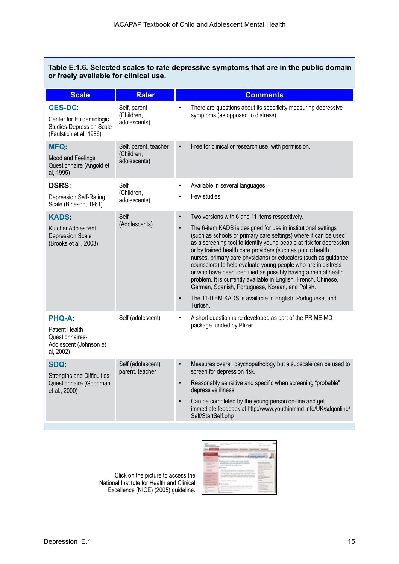| Table E.1.6. Selected scales to rate depressive symptoms that are in the public domain<br>or freely available for clinical use. |                                                     |                                     |                                                                                                                                                                                                                                                                                                                                                                                                                                                                                                                                                                                                                                                                                                                               |  |
|---------------------------------------------------------------------------------------------------------------------------------|-----------------------------------------------------|-------------------------------------|-------------------------------------------------------------------------------------------------------------------------------------------------------------------------------------------------------------------------------------------------------------------------------------------------------------------------------------------------------------------------------------------------------------------------------------------------------------------------------------------------------------------------------------------------------------------------------------------------------------------------------------------------------------------------------------------------------------------------------|--|
| <b>Scale</b>                                                                                                                    | <b>Rater</b>                                        |                                     | <b>Comments</b>                                                                                                                                                                                                                                                                                                                                                                                                                                                                                                                                                                                                                                                                                                               |  |
| <b>CES-DC:</b><br>Center for Epidemiologic<br><b>Studies-Depression Scale</b><br>(Faulstich et al, 1986)                        | Self, parent<br>(Children,<br>adolescents)          |                                     | There are questions about its specificity measuring depressive<br>symptoms (as opposed to distress).                                                                                                                                                                                                                                                                                                                                                                                                                                                                                                                                                                                                                          |  |
| <b>MFQ:</b><br>Mood and Feelings<br>Questionnaire (Angold et<br>al, 1995)                                                       | Self, parent, teacher<br>(Children,<br>adolescents) | $\bullet$                           | Free for clinical or research use, with permission.                                                                                                                                                                                                                                                                                                                                                                                                                                                                                                                                                                                                                                                                           |  |
| <b>DSRS:</b>                                                                                                                    | Self                                                | $\bullet$                           | Available in several languages                                                                                                                                                                                                                                                                                                                                                                                                                                                                                                                                                                                                                                                                                                |  |
| <b>Depression Self-Rating</b><br>Scale (Birleson, 1981)                                                                         | (Children,<br>adolescents)                          |                                     | Few studies                                                                                                                                                                                                                                                                                                                                                                                                                                                                                                                                                                                                                                                                                                                   |  |
| <b>KADS:</b><br>Kutcher Adolescent<br>Depression Scale<br>(Brooks et al., 2003)                                                 | Self<br>(Adolescents)                               | $\bullet$<br>$\bullet$<br>$\bullet$ | Two versions with 6 and 11 items respectively.<br>The 6-item KADS is designed for use in institutional settings<br>(such as schools or primary care settings) where it can be used<br>as a screening tool to identify young people at risk for depression<br>or by trained health care providers (such as public health<br>nurses, primary care physicians) or educators (such as guidance<br>counselors) to help evaluate young people who are in distress<br>or who have been identified as possibly having a mental health<br>problem. It is currently available in English, French, Chinese,<br>German, Spanish, Portuguese, Korean, and Polish.<br>The 11-ITEM KADS is available in English, Portuguese, and<br>Turkish. |  |
| <b>PHQ-A:</b><br><b>Patient Health</b><br>Questionnaires-<br>Adolescent (Johnson et<br>al, 2002)                                | Self (adolescent)                                   |                                     | A short questionnaire developed as part of the PRIME-MD<br>package funded by Pfizer.                                                                                                                                                                                                                                                                                                                                                                                                                                                                                                                                                                                                                                          |  |
| <b>SDQ</b><br><b>Strengths and Difficulties</b><br>Questionnaire (Goodman<br>et al., 2000)                                      | Self (adolescent),<br>parent, teacher               | $\bullet$<br>$\bullet$              | Measures overall psychopathology but a subscale can be used to<br>screen for depression risk.<br>Reasonably sensitive and specific when screening "probable"<br>depressive illness.<br>Can be completed by the young person on-line and get<br>immediate feedback at http://www.youthinmind.info/UK/sdqonline/<br>Self/StartSelf.php                                                                                                                                                                                                                                                                                                                                                                                          |  |

Click on the picture to access the National Institute for Health and Clinical Excellence (NICE) (2005) guideline.

|     | $-$<br>. .<br>--<br>state of the first party of                                                                      |
|-----|----------------------------------------------------------------------------------------------------------------------|
|     | the party of the company of the company                                                                              |
|     | ٠<br>٠<br>$\sim$<br><b>SECOND CO.</b><br>tions departments on all control through your<br>Street and Christian<br>11 |
|     | $\sim$<br>--<br><b>STATISTICS</b><br><b>COMMERCIAL</b><br>the same and the company of the                            |
|     | <br>the company of the program and<br>and China Com<br><b>School School</b><br><b>COMPANY</b>                        |
|     | <b>CONTRACT</b><br><b>CONTRACTOR</b>                                                                                 |
| -   | <b>CONTRACTOR</b><br>$-$<br>m<br>٠<br>----                                                                           |
| . . | <b>MARINE COMMENT</b><br>The common                                                                                  |
|     | the commercial contracts of the commer-<br>---<br>٠                                                                  |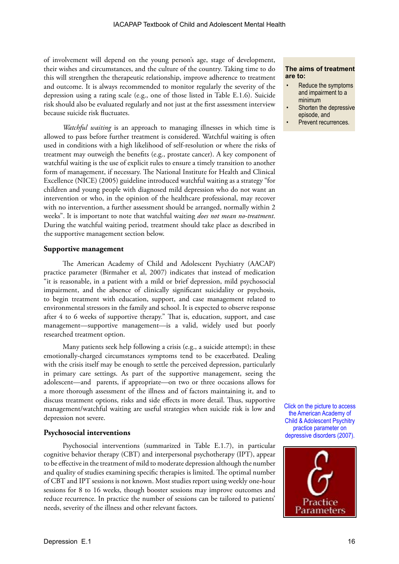of involvement will depend on the young person's age, stage of development, their wishes and circumstances, and the culture of the country. Taking time to do this will strengthen the therapeutic relationship, improve adherence to treatment and outcome. It is always recommended to monitor regularly the severity of the depression using a rating scale (e.g., one of those listed in Table E.1.6). Suicide risk should also be evaluated regularly and not just at the first assessment interview because suicide risk fluctuates.

*Watchful waiting* is an approach to managing illnesses in which time is allowed to pass before further treatment is considered. Watchful waiting is often used in conditions with a high likelihood of self-resolution or where the risks of treatment may outweigh the benefits (e.g., prostate cancer). A key component of watchful waiting is the use of explicit rules to ensure a timely transition to another form of management, if necessary. The National Institute for Health and Clinical Excellence (NICE) (2005) guideline introduced watchful waiting as a strategy "for children and young people with diagnosed mild depression who do not want an intervention or who, in the opinion of the healthcare professional, may recover with no intervention, a further assessment should be arranged, normally within 2 weeks". It is important to note that watchful waiting *does not mean no-treatment*. During the watchful waiting period, treatment should take place as described in the supportive management section below.

#### **Supportive management**

The American Academy of Child and Adolescent Psychiatry (AACAP) practice parameter (Birmaher et al, 2007) indicates that instead of medication "it is reasonable, in a patient with a mild or brief depression, mild psychosocial impairment, and the absence of clinically significant suicidality or psychosis, to begin treatment with education, support, and case management related to environmental stressors in the family and school. It is expected to observe response after 4 to 6 weeks of supportive therapy." That is, education, support, and case management—supportive management—is a valid, widely used but poorly researched treatment option.

Many patients seek help following a crisis (e.g., a suicide attempt); in these emotionally-charged circumstances symptoms tend to be exacerbated. Dealing with the crisis itself may be enough to settle the perceived depression, particularly in primary care settings. As part of the supportive management, seeing the adolescent—and parents, if appropriate—on two or three occasions allows for a more thorough assessment of the illness and of factors maintaining it, and to discuss treatment options, risks and side effects in more detail. Thus, supportive management/watchful waiting are useful strategies when suicide risk is low and depression not severe.

#### **Psychosocial interventions**

Psychosocial interventions (summarized in Table E.1.7), in particular cognitive behavior therapy (CBT) and interpersonal psychotherapy (IPT), appear to be effective in the treatment of mild to moderate depression although the number and quality of studies examining specific therapies is limited. The optimal number of CBT and IPT sessions is not known. Most studies report using weekly one-hour sessions for 8 to 16 weeks, though booster sessions may improve outcomes and reduce recurrence. In practice the number of sessions can be tailored to patients' needs, severity of the illness and other relevant factors.

#### **The aims of treatment are to:**

- Reduce the symptoms and impairment to a minimum
- Shorten the depressive episode, and
- Prevent recurrences.

Click on the picture to access the American Academy of Child & Adolescent Psychitry practice parameter on depressive disorders (2007).

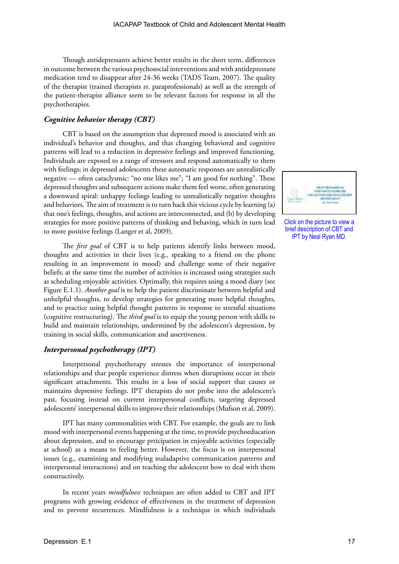Though antidepressants achieve better results in the short term, differences in outcome between the various psychosocial interventions and with antidepressant medication tend to disappear after 24-36 weeks (TADS Team, 2007). The quality of the therapist (trained therapists *vs*. paraprofessionals) as well as the strength of the patient-therapist alliance seem to be relevant factors for response in all the psychotherapies.

#### *Cognitive behavior therapy (CBT)*

CBT is based on the assumption that depressed mood is associated with an individual's behavior and thoughts, and that changing behavioral and cognitive patterns will lead to a reduction in depressive feelings and improved functioning. Individuals are exposed to a range of stressors and respond automatically to them with feelings; in depressed adolescents these automatic responses are unrealistically negative — often cataclysmic: "no one likes me"; "I am good for nothing". These depressed thoughts and subsequent actions make them feel worse, often generating a downward spiral: unhappy feelings leading to unrealistically negative thoughts and behaviors. The aim of treatment is to turn back this vicious cycle by learning (a) that one's feelings, thoughts, and actions are interconnected, and (b) by developing strategies for more positive patterns of thinking and behaving, which in turn lead to more positive feelings (Langer et al, 2009).

The *first goal* of CBT is to help patients identify links between mood, thoughts and activities in their lives (e.g., speaking to a friend on the phone resulting in an improvement in mood) and challenge some of their negative beliefs; at the same time the number of activities is increased using strategies such as scheduling enjoyable activities. Optimally, this requires using a mood diary (see Figure E.1.1). *Another goal* is to help the patient discriminate between helpful and unhelpful thoughts, to develop strategies for generating more helpful thoughts, and to practice using helpful thought patterns in response to stressful situations (cognitive restructuring). The *third goal* is to equip the young person with skills to build and maintain relationships, undermined by the adolescent's depression, by training in social skills, communication and assertiveness.

#### *Interpersonal psychotherapy (IPT)*

Interpersonal psychotherapy stresses the importance of interpersonal relationships and that people experience distress when disruptions occur in their significant attachments. This results in a loss of social support that causes or maintains depressive feelings. IPT therapists do not probe into the adolescent's past, focusing instead on current interpersonal conflicts, targeting depressed adolescents' interpersonal skills to improve their relationships (Mufson et al, 2009).

IPT has many commonalities with CBT. For example, the goals are to link mood with interpersonal events happening at the time, to provide psychoeducation about depression, and to encourage prticipation in enjoyable activities (especially at school) as a means to feeling better. However, the focus is on interpersonal issues (e.g., examining and modifying maladaptive communication patterns and interpersonal interactions) and on teaching the adolescent how to deal with them constructively.

In recent years *mindfulness* techniques are often added to CBT and IPT programs with growing evidence of effectiveness in the treatment of depression and to prevent recurrences. Mindfulness is a technique in which individuals



Click on the picture to view a brief description of CBT and IPT by Neal Ryan MD.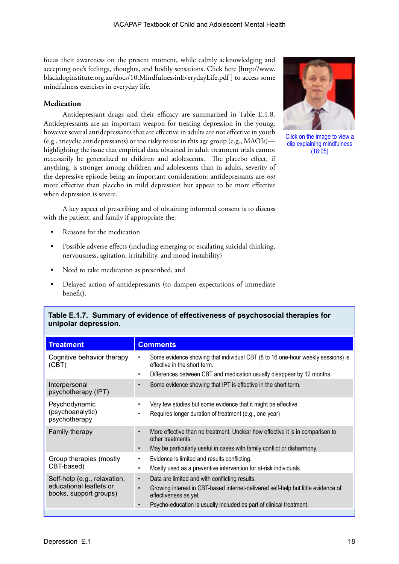focus their awareness on the present moment, while calmly acknowledging and accepting one's feelings, thoughts, and bodily sensations. Click here [http://www. blackdoginstitute.org.au/docs/10.MindfulnessinEverydayLife.pdf ] to access some mindfulness exercises in everyday life.

#### **Medication**

Antidepressant drugs and their efficacy are summarized in Table E.1.8. Antidepressants are an important weapon for treating depression in the young, however several antidepressants that are effective in adults are not effective in youth (e.g., tricyclic antidepressants) or too risky to use in this age group (e.g., MAOIs) highlighting the issue that empirical data obtained in adult treatment trials cannot necessarily be generalized to children and adolescents. The placebo effect, if anything, is stronger among children and adolescents than in adults, severity of the depressive episode being an important consideration: antidepressants are *not* more effective than placebo in mild depression but appear to be more effective when depression is severe.

A key aspect of prescribing and of obtaining informed consent is to discuss with the patient, and family if appropriate the:

- Reasons for the medication
- Possible adverse effects (including emerging or escalating suicidal thinking, nervousness, agitation, irritability, and mood instability)
- Need to take medication as prescribed, and
- Delayed action of antidepressants (to dampen expectations of immediate benefit).

| Table E.1.7.  Summary of evidence of effectiveness of psychosocial therapies for<br>unipolar depression. |                                                                                                                                                                                                                                                                            |  |  |
|----------------------------------------------------------------------------------------------------------|----------------------------------------------------------------------------------------------------------------------------------------------------------------------------------------------------------------------------------------------------------------------------|--|--|
| <b>Treatment</b>                                                                                         | <b>Comments</b>                                                                                                                                                                                                                                                            |  |  |
| Cognitive behavior therapy<br>(CBT)                                                                      | Some evidence showing that individual CBT (8 to 16 one-hour weekly sessions) is<br>effective in the short term.<br>Differences between CBT and medication usually disappear by 12 months.<br>٠                                                                             |  |  |
| Interpersonal<br>psychotherapy (IPT)                                                                     | Some evidence showing that IPT is effective in the short term.<br>$\bullet$                                                                                                                                                                                                |  |  |
| Psychodynamic<br>(psychoanalytic)<br>psychotherapy                                                       | Very few studies but some evidence that it might be effective.<br>Requires longer duration of treatment (e.g., one year)                                                                                                                                                   |  |  |
| Family therapy                                                                                           | More effective than no treatment. Unclear how effective it is in comparison to<br>$\bullet$<br>other treatments.<br>May be particularly useful in cases with family conflict or disharmony.<br>$\bullet$                                                                   |  |  |
| Group therapies (mostly<br>CBT-based)                                                                    | Evidence is limited and results conflicting.<br>٠<br>Mostly used as a preventive intervention for at-risk individuals.                                                                                                                                                     |  |  |
| Self-help (e.g., relaxation,<br>educational leaflets or<br>books, support groups)                        | Data are limited and with conflicting results.<br>$\bullet$<br>Growing interest in CBT-based internet-delivered self-help but little evidence of<br>$\bullet$<br>effectiveness as yet.<br>Psycho-education is usually included as part of clinical treatment.<br>$\bullet$ |  |  |
|                                                                                                          |                                                                                                                                                                                                                                                                            |  |  |



Click on the image to view a clip explaining mindfulness (18:05)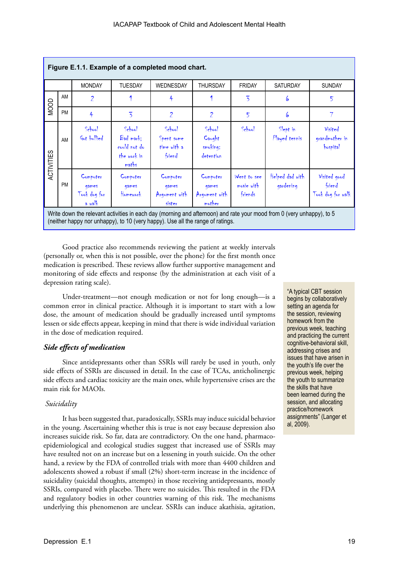|            | Figure E.1.1. Example of a completed mood chart.                                                                     |                                               |                                                             |                                               |                                              |                                      |                              |                                             |
|------------|----------------------------------------------------------------------------------------------------------------------|-----------------------------------------------|-------------------------------------------------------------|-----------------------------------------------|----------------------------------------------|--------------------------------------|------------------------------|---------------------------------------------|
|            |                                                                                                                      | <b>MONDAY</b>                                 | <b>TUESDAY</b>                                              | <b>WEDNESDAY</b>                              | <b>THURSDAY</b>                              | <b>FRIDAY</b>                        | <b>SATURDAY</b>              | <b>SUNDAY</b>                               |
| MOOD       | AM                                                                                                                   | $\overline{2}$                                |                                                             | 4                                             | 1                                            | $\overline{5}$                       | 6                            | 5                                           |
|            | <b>PM</b>                                                                                                            | 4                                             | $\overline{5}$                                              | $\overline{2}$                                | $\overline{2}$                               | 5                                    | 6                            | 7                                           |
| ACTIVITIES | AM                                                                                                                   | School<br>Got bullied                         | School<br>Bad mark;<br>could not do<br>the work in<br>maths | School<br>Spent some<br>time with a<br>friend | School<br>Caught<br>smoking:<br>detention    | School                               | Slept in<br>Played tennis    | Visited<br>grandmother in<br>hospital       |
|            | <b>PM</b>                                                                                                            | Computer<br>games<br>Took dog for<br>$a$ walk | Computer<br>qames<br>Homework                               | Computer<br>qames<br>Argument with<br>sister  | Computer<br>qames<br>Argument with<br>mother | Went to see<br>movie with<br>friends | Helped dad with<br>gardening | Visited good<br>friend<br>Took dog for walk |
|            | Write down the relevant activities in each day (morning and afternoon) and rate your mood from 0 (yery unhanny) to 5 |                                               |                                                             |                                               |                                              |                                      |                              |                                             |

write down the relevant activities in each day (morning and afternoon) and rate your mood  $\overline{\phantom{a}}$ (neither happy nor unhappy), to 10 (very happy). Use all the range of ratings.

Good practice also recommends reviewing the patient at weekly intervals (personally or, when this is not possible, over the phone) for the first month once medication is prescribed. These reviews allow further supportive management and monitoring of side effects and response (by the administration at each visit of a depression rating scale).

Under-treatment—not enough medication or not for long enough—is a common error in clinical practice. Although it is important to start with a low dose, the amount of medication should be gradually increased until symptoms lessen or side effects appear, keeping in mind that there is wide individual variation in the dose of medication required.

### *Side effects of medication*

Since antidepressants other than SSRIs will rarely be used in youth, only side effects of SSRIs are discussed in detail. In the case of TCAs, anticholinergic side effects and cardiac toxicity are the main ones, while hypertensive crises are the main risk for MAOIs.

#### *Suicidality*

It has been suggested that, paradoxically, SSRIs may induce suicidal behavior in the young. Ascertaining whether this is true is not easy because depression also increases suicide risk. So far, data are contradictory. On the one hand, pharmacoepidemiological and ecological studies suggest that increased use of SSRIs may have resulted not on an increase but on a lessening in youth suicide. On the other hand, a review by the FDA of controlled trials with more than 4400 children and adolescents showed a robust if small (2%) short-term increase in the incidence of suicidality (suicidal thoughts, attempts) in those receiving antidepressants, mostly SSRIs, compared with placebo. There were no suicides. This resulted in the FDA and regulatory bodies in other countries warning of this risk. The mechanisms underlying this phenomenon are unclear. SSRIs can induce akathisia, agitation,

"A typical CBT session begins by collaboratively setting an agenda for the session, reviewing homework from the previous week, teaching and practicing the current cognitive-behavioral skill, addressing crises and issues that have arisen in the youth's life over the previous week, helping the youth to summarize the skills that have been learned during the session, and allocating practice/homework assignments" (Langer et al, 2009).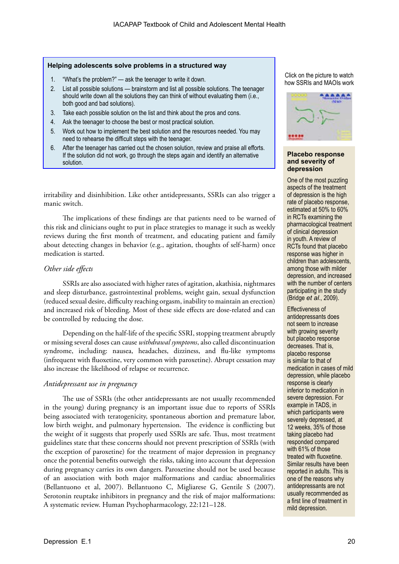#### **Helping adolescents solve problems in a structured way**

- 1. "What's the problem?" ask the teenager to write it down.
- 2. List all possible solutions brainstorm and list all possible solutions. The teenager should write down all the solutions they can think of without evaluating them (i.e., both good and bad solutions).
- 3. Take each possible solution on the list and think about the pros and cons.
- 4. Ask the teenager to choose the best or most practical solution.
- 5. Work out how to implement the best solution and the resources needed. You may need to rehearse the difficult steps with the teenager.
- 6. After the teenager has carried out the chosen solution, review and praise all efforts. If the solution did not work, go through the steps again and identify an alternative solution.

irritability and disinhibition. Like other antidepressants, SSRIs can also trigger a manic switch.

The implications of these findings are that patients need to be warned of this risk and clinicians ought to put in place strategies to manage it such as weekly reviews during the first month of treatment, and educating patient and family about detecting changes in behavior (e.g., agitation, thoughts of self-harm) once medication is started.

#### *Other side effects*

SSRIs are also associated with higher rates of agitation, akathisia, nightmares and sleep disturbance, gastrointestinal problems, weight gain, sexual dysfunction (reduced sexual desire, difficulty reaching orgasm, inability to maintain an erection) and increased risk of bleeding. Most of these side effects are dose-related and can be controlled by reducing the dose.

Depending on the half-life of the specific SSRI, stopping treatment abruptly or missing several doses can cause *withdrawal symptoms*, also called discontinuation syndrome, including: nausea, headaches, dizziness, and flu-like symptoms (infrequent with fluoxetine, very common with paroxetine). Abrupt cessation may also increase the likelihood of relapse or recurrence.

#### *Antidepressant use in pregnancy*

The use of SSRIs (the other antidepressants are not usually recommended in the young) during pregnancy is an important issue due to reports of SSRIs being associated with teratogenicity, spontaneous abortion and premature labor, low birth weight, and pulmonary hypertension. The evidence is conflicting but the weight of it suggests that properly used SSRIs are safe. Thus, most treatment guidelines state that these concerns should not prevent prescription of SSRIs (with the exception of paroxetine) for the treatment of major depression in pregnancy once the potential benefits outweigh the risks, taking into account that depression during pregnancy carries its own dangers. Paroxetine should not be used because of an association with both major malformations and cardiac abnormalities (Bellantuono et al, 2007). Bellantuono C, Migliarese G, Gentile S (2007). Serotonin reuptake inhibitors in pregnancy and the risk of major malformations: A systematic review. Human Psychopharmacology, 22:121–128.

Click on the picture to watch how SSRIs and MAOIs work



#### **Placebo response and severity of depression**

One of the most puzzling aspects of the treatment of depression is the high rate of placebo response, estimated at 50% to 60% in RCTs examining the pharmacological treatment of clinical depression in youth. A review of RCTs found that placebo response was higher in children than adolescents, among those with milder depression, and increased with the number of centers participating in the study (Bridge *et al*., 2009).

Effectiveness of antidepressants does not seem to increase with growing severity but placebo response decreases. That is, placebo response is similar to that of medication in cases of mild depression, while placebo response is clearly inferior to medication in severe depression. For example in TADS, in which participants were severely depressed, at 12 weeks, 35% of those taking placebo had responded compared with 61% of those treated with fluoxetine. Similar results have been reported in adults. This is one of the reasons why antidepressants are not usually recommended as a first line of treatment in mild depression.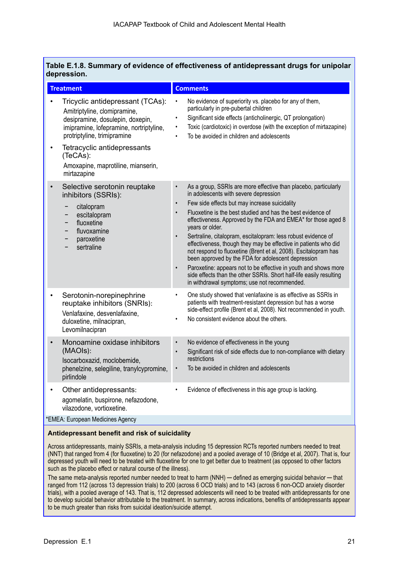|             | Table E.1.8. Summary of evidence of effectiveness of antidepressant drugs for unipolar |  |
|-------------|----------------------------------------------------------------------------------------|--|
| depression. |                                                                                        |  |

| <b>Treatment</b>                                                                                                                                                                                                           | <b>Comments</b>                                                                                                                                                                                                                                                                                                                                                                                                                                                                                                                                                                                                                                                                                                                                                                                                         |
|----------------------------------------------------------------------------------------------------------------------------------------------------------------------------------------------------------------------------|-------------------------------------------------------------------------------------------------------------------------------------------------------------------------------------------------------------------------------------------------------------------------------------------------------------------------------------------------------------------------------------------------------------------------------------------------------------------------------------------------------------------------------------------------------------------------------------------------------------------------------------------------------------------------------------------------------------------------------------------------------------------------------------------------------------------------|
| Tricyclic antidepressant (TCAs):<br>Amitriptyline, clomipramine,<br>desipramine, dosulepin, doxepin,<br>imipramine, lofepramine, nortriptyline,<br>protriptyline, trimipramine<br>Tetracyclic antidepressants<br>$\bullet$ | No evidence of superiority vs. placebo for any of them,<br>$\bullet$<br>particularly in pre-pubertal children<br>Significant side effects (anticholinergic, QT prolongation)<br>$\bullet$<br>Toxic (cardiotoxic) in overdose (with the exception of mirtazapine)<br>To be avoided in children and adolescents<br>$\bullet$                                                                                                                                                                                                                                                                                                                                                                                                                                                                                              |
| (TeCAs):<br>Amoxapine, maprotiline, mianserin,<br>mirtazapine                                                                                                                                                              |                                                                                                                                                                                                                                                                                                                                                                                                                                                                                                                                                                                                                                                                                                                                                                                                                         |
| Selective serotonin reuptake<br>$\bullet$<br>inhibitors (SSRIs):<br>citalopram<br>escitalopram<br>-<br>fluoxetine<br>fluvoxamine<br>-<br>paroxetine<br>-<br>sertraline                                                     | As a group, SSRIs are more effective than placebo, particularly<br>$\bullet$<br>in adolescents with severe depression<br>Few side effects but may increase suicidality<br>$\bullet$<br>Fluoxetine is the best studied and has the best evidence of<br>effectiveness. Approved by the FDA and EMEA* for those aged 8<br>years or older.<br>Sertraline, citalopram, escitalopram: less robust evidence of<br>$\bullet$<br>effectiveness, though they may be effective in patients who did<br>not respond to fluoxetine (Brent et al, 2008). Escitalopram has<br>been approved by the FDA for adolescent depression<br>Paroxetine: appears not to be effective in youth and shows more<br>$\bullet$<br>side effects than the other SSRIs. Short half-life easily resulting<br>in withdrawal symptoms; use not recommended. |
| Serotonin-norepinephrine<br>reuptake inhibitors (SNRIs):<br>Venlafaxine, desvenlafaxine,<br>duloxetine, milnacipran,<br>Levomilnacipran                                                                                    | One study showed that venlafaxine is as effective as SSRIs in<br>$\bullet$<br>patients with treatment-resistant depression but has a worse<br>side-effect profile (Brent et al, 2008). Not recommended in youth.<br>No consistent evidence about the others.                                                                                                                                                                                                                                                                                                                                                                                                                                                                                                                                                            |
| Monoamine oxidase inhibitors<br>$\bullet$<br>(MAOIs):<br>Isocarboxazid, moclobemide,<br>phenelzine, selegiline, tranylcypromine,<br>pirlindole                                                                             | No evidence of effectiveness in the young<br>$\bullet$<br>Significant risk of side effects due to non-compliance with dietary<br>$\bullet$<br>restrictions<br>To be avoided in children and adolescents<br>$\bullet$                                                                                                                                                                                                                                                                                                                                                                                                                                                                                                                                                                                                    |
| Other antidepressants:<br>$\bullet$<br>agomelatin, buspirone, nefazodone,<br>vilazodone, vortioxetine.                                                                                                                     | Evidence of effectiveness in this age group is lacking.<br>$\bullet$                                                                                                                                                                                                                                                                                                                                                                                                                                                                                                                                                                                                                                                                                                                                                    |
| *EMEA: European Medicines Agency                                                                                                                                                                                           |                                                                                                                                                                                                                                                                                                                                                                                                                                                                                                                                                                                                                                                                                                                                                                                                                         |

#### **Antidepressant benefit and risk of suicidality**

Across antidepressants, mainly SSRIs, a meta-analysis including 15 depression RCTs reported numbers needed to treat (NNT) that ranged from 4 (for fluoxetine) to 20 (for nefazodone) and a pooled average of 10 (Bridge et al, 2007). That is, four depressed youth will need to be treated with fluoxetine for one to get better due to treatment (as opposed to other factors such as the placebo effect or natural course of the illness).

The same meta-analysis reported number needed to treat to harm (NNH) — defined as emerging suicidal behavior — that ranged from 112 (across 13 depression trials) to 200 (across 6 OCD trials) and to 143 (across 6 non-OCD anxiety disorder trials), with a pooled average of 143. That is, 112 depressed adolescents will need to be treated with antidepressants for one to develop suicidal behavior attributable to the treatment. In summary, across indications, benefits of antidepressants appear to be much greater than risks from suicidal ideation/suicide attempt.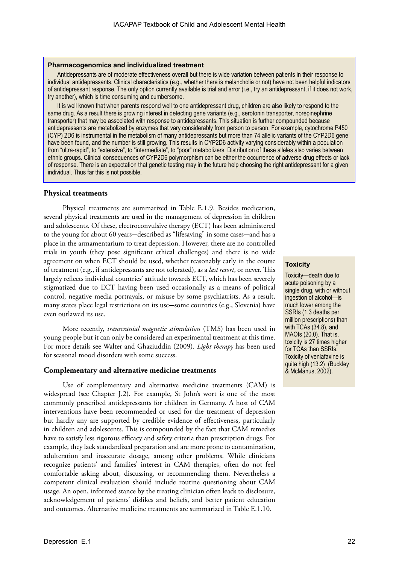#### **Pharmacogenomics and individualized treatment**

Antidepressants are of moderate effectiveness overall but there is wide variation between patients in their response to individual antidepressants. Clinical characteristics (e.g., whether there is melancholia or not) have not been helpful indicators of antidepressant response. The only option currently available is trial and error (i.e., try an antidepressant, if it does not work, try another), which is time consuming and cumbersome.

It is well known that when parents respond well to one antidepressant drug, children are also likely to respond to the same drug. As a result there is growing interest in detecting gene variants (e.g., serotonin transporter, norepinephrine transporter) that may be associated with response to antidepressants. This situation is further compounded because antidepressants are metabolized by enzymes that vary considerably from person to person. For example, cytochrome P450 (CYP) 2D6 is instrumental in the metabolism of many antidepressants but more than 74 allelic variants of the CYP2D6 gene have been found, and the number is still growing. This results in CYP2D6 activity varying considerably within a population from "ultra-rapid", to "extensive", to "intermediate", to "poor" metabolizers. Distribution of these alleles also varies between ethnic groups. Clinical consequences of CYP2D6 polymorphism can be either the occurrence of adverse drug effects or lack of response. There is an expectation that genetic testing may in the future help choosing the right antidepressant for a given individual. Thus far this is not possible.

#### **Physical treatments**

Physical treatments are summarized in Table E.1.9. Besides medication, several physical treatments are used in the management of depression in children and adolescents. Of these, electroconvulsive therapy (ECT) has been administered to the young for about 60 years—described as "lifesaving" in some cases—and has a place in the armamentarium to treat depression. However, there are no controlled trials in youth (they pose significant ethical challenges) and there is no wide agreement on when ECT should be used, whether reasonably early in the course of treatment (e.g., if antidepressants are not tolerated), as a *last resort*, or never. This largely reflects individual countries' attitude towards ECT, which has been severely stigmatized due to ECT having been used occasionally as a means of political control, negative media portrayals, or misuse by some psychiatrists. As a result, many states place legal restrictions on its use—some countries (e.g., Slovenia) have even outlawed its use.

More recently, *transcranial magnetic stimulation* (TMS) has been used in young people but it can only be considered an experimental treatment at this time. For more details see Walter and Ghaziuddin (2009). *Light therapy* has been used for seasonal mood disorders with some success.

#### **Complementary and alternative medicine treatments**

Use of complementary and alternative medicine treatments (CAM) is widespread (see Chapter J.2). For example, St John's wort is one of the most commonly prescribed antidepressants for children in Germany. A host of CAM interventions have been recommended or used for the treatment of depression but hardly any are supported by credible evidence of effectiveness, particularly in children and adolescents. This is compounded by the fact that CAM remedies have to satisfy less rigorous efficacy and safety criteria than prescription drugs. For example, they lack standardized preparation and are more prone to contamination, adulteration and inaccurate dosage, among other problems. While clinicians recognize patients' and families' interest in CAM therapies, often do not feel comfortable asking about, discussing, or recommending them. Nevertheless a competent clinical evaluation should include routine questioning about CAM usage. An open, informed stance by the treating clinician often leads to disclosure, acknowledgement of patients' dislikes and beliefs, and better patient education and outcomes. Alternative medicine treatments are summarized in Table E.1.10.

#### **Toxicity**

Toxicity—death due to acute poisoning by a single drug, with or without ingestion of alcohol—is much lower among the SSRIs (1.3 deaths per million prescriptions) than with TCAs (34.8), and MAOIs (20.0). That is, toxicity is 27 times higher for TCAs than SSRIs. Toxicity of venlafaxine is quite high (13.2) (Buckley & McManus, 2002).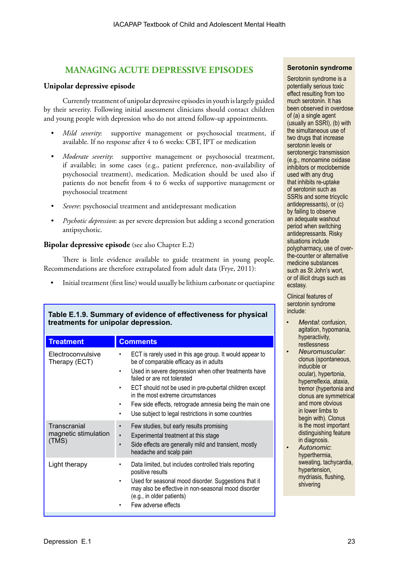## **MANAGING ACUTE DEPRESSIVE EPISODES**

#### **Unipolar depressive episode**

Currently treatment of unipolar depressive episodes in youth is largely guided by their severity. Following initial assessment clinicians should contact children and young people with depression who do not attend follow-up appointments.

- *Mild severity*: supportive management or psychosocial treatment, if available. If no response after 4 to 6 weeks: CBT, IPT or medication
- *• Moderate severity*: supportive management or psychosocial treatment, if available; in some cases (e.g., patient preference, non-availability of psychosocial treatment), medication. Medication should be used also if patients do not benefit from 4 to 6 weeks of supportive management or psychosocial treatment
- *• Severe*: psychosocial treatment and antidepressant medication
- *• Psychotic depression*: as per severe depression but adding a second generation antipsychotic.

#### **Bipolar depressive episode** (see also Chapter E.2)

There is little evidence available to guide treatment in young people. Recommendations are therefore extrapolated from adult data (Frye, 2011):

• Initial treatment (first line) would usually be lithium carbonate or quetiapine

| treatments for unipolar depression.           |                                                                                                                                                                                                                                                                                                                                                                                                                                |  |  |  |
|-----------------------------------------------|--------------------------------------------------------------------------------------------------------------------------------------------------------------------------------------------------------------------------------------------------------------------------------------------------------------------------------------------------------------------------------------------------------------------------------|--|--|--|
| <b>Treatment</b>                              | <b>Comments</b>                                                                                                                                                                                                                                                                                                                                                                                                                |  |  |  |
| Electroconvulsive<br>Therapy (ECT)            | ECT is rarely used in this age group. It would appear to<br>be of comparable efficacy as in adults<br>Used in severe depression when other treatments have<br>٠<br>failed or are not tolerated<br>ECT should not be used in pre-pubertal children except<br>٠<br>in the most extreme circumstances<br>Few side effects, retrograde amnesia being the main one<br>٠<br>Use subject to legal restrictions in some countries<br>٠ |  |  |  |
| Transcranial<br>magnetic stimulation<br>(TMS) | Few studies, but early results promising<br>$\bullet$<br>Experimental treatment at this stage<br>$\bullet$<br>Side effects are generally mild and transient, mostly<br>$\bullet$<br>headache and scalp pain                                                                                                                                                                                                                    |  |  |  |
| Light therapy                                 | Data limited, but includes controlled trials reporting<br>٠<br>positive results<br>Used for seasonal mood disorder. Suggestions that it<br>٠<br>may also be effective in non-seasonal mood disorder<br>(e.g., in older patients)<br>Few adverse effects<br>٠                                                                                                                                                                   |  |  |  |
|                                               |                                                                                                                                                                                                                                                                                                                                                                                                                                |  |  |  |

## **Table E.1.9. Summary of evidence of effectiveness for physical**

#### **Serotonin syndrome**

Serotonin syndrome is a potentially serious toxic effect resulting from too much serotonin. It has been observed in overdose of (a) a single agent (usually an SSRI), (b) with the simultaneous use of two drugs that increase serotonin levels or serotonergic transmission (e.g., monoamine oxidase inhibitors or moclobemide used with any drug that inhibits re-uptake of serotonin such as SSRIs and some tricyclic antidepressants), or (c) by failing to observe an adequate washout period when switching antidepressants. Risky situations include polypharmacy, use of overthe-counter or alternative medicine substances such as St John's wort, or of illicit drugs such as ecstasy.

Clinical features of serotonin syndrome include:

- *• Mental*: confusion, agitation, hypomania, hyperactivity, restlessness
- *• Neuromuscular*: clonus (spontaneous, inducible or ocular), hypertonia, hyperreflexia, ataxia, tremor (hypertonia and clonus are symmetrical and more obvious in lower limbs to begin with). Clonus is the most important distinguishing feature in diagnosis.
- *• Autonomic*: hyperthermia, sweating, tachycardia, hypertension, mydriasis, flushing, shivering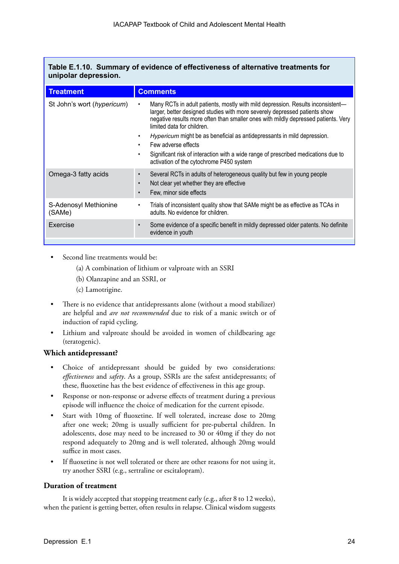|                      | Table E.1.10. Summary of evidence of effectiveness of alternative treatments for |
|----------------------|----------------------------------------------------------------------------------|
| unipolar depression. |                                                                                  |

| <b>Treatment</b>                | <b>Comments</b>                                                                                                                                                                                                                                                                   |
|---------------------------------|-----------------------------------------------------------------------------------------------------------------------------------------------------------------------------------------------------------------------------------------------------------------------------------|
| St John's wort (hypericum)      | Many RCTs in adult patients, mostly with mild depression. Results inconsistent—<br>larger, better designed studies with more severely depressed patients show<br>negative results more often than smaller ones with mildly depressed patients. Very<br>limited data for children. |
|                                 | Hypericum might be as beneficial as antidepressants in mild depression.<br>Few adverse effects                                                                                                                                                                                    |
|                                 | Significant risk of interaction with a wide range of prescribed medications due to<br>activation of the cytochrome P450 system                                                                                                                                                    |
| Omega-3 fatty acids             | Several RCTs in adults of heterogeneous quality but few in young people<br>$\bullet$<br>Not clear yet whether they are effective<br>Few, minor side effects                                                                                                                       |
| S-Adenosyl Methionine<br>(SAMe) | Trials of inconsistent quality show that SAMe might be as effective as TCAs in<br>adults. No evidence for children.                                                                                                                                                               |
| Exercise                        | Some evidence of a specific benefit in mildly depressed older patents. No definite<br>$\bullet$<br>evidence in youth                                                                                                                                                              |

- Second line treatments would be:
	- (a) A combination of lithium or valproate with an SSRI
	- (b) Olanzapine and an SSRI, or
	- (c) Lamotrigine.
- There is no evidence that antidepressants alone (without a mood stabilizer) are helpful and *are not recommended* due to risk of a manic switch or of induction of rapid cycling.
- Lithium and valproate should be avoided in women of childbearing age (teratogenic).

### **Which antidepressant?**

- Choice of antidepressant should be guided by two considerations: *effectiveness* and *safety*. As a group, SSRIs are the safest antidepressants; of these, fluoxetine has the best evidence of effectiveness in this age group.
- Response or non-response or adverse effects of treatment during a previous episode will influence the choice of medication for the current episode.
- Start with 10mg of fluoxetine. If well tolerated, increase dose to 20mg after one week; 20mg is usually sufficient for pre-pubertal children. In adolescents, dose may need to be increased to 30 or 40mg if they do not respond adequately to 20mg and is well tolerated, although 20mg would suffice in most cases.
- If fluoxetine is not well tolerated or there are other reasons for not using it, try another SSRI (e.g., sertraline or escitalopram).

## **Duration of treatment**

It is widely accepted that stopping treatment early (e.g., after 8 to 12 weeks), when the patient is getting better, often results in relapse. Clinical wisdom suggests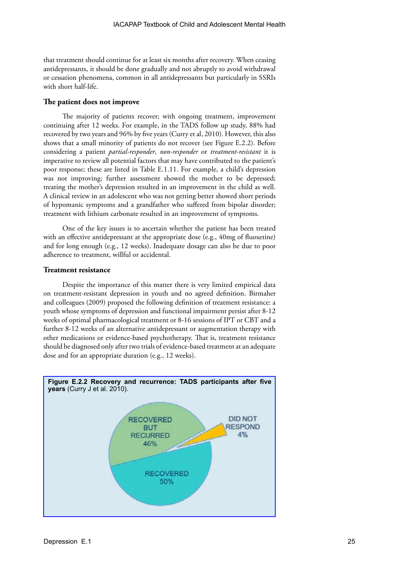that treatment should continue for at least six months after recovery. When ceasing antidepressants, it should be done gradually and not abruptly to avoid withdrawal or cessation phenomena, common in all antidepressants but particularly in SSRIs with short half-life.

#### **The patient does not improve**

The majority of patients recover; with ongoing treatment, improvement continuing after 12 weeks. For example, in the TADS follow up study, 88% had recovered by two years and 96% by five years (Curry et al, 2010). However, this also shows that a small minority of patients do not recover (see Figure E.2.2). Before considering a patient *partial-responder*, *non-responder* or *treatment-resistant* it is imperative to review all potential factors that may have contributed to the patient's poor response; these are listed in Table E.1.11. For example, a child's depression was not improving; further assessment showed the mother to be depressed; treating the mother's depression resulted in an improvement in the child as well. A clinical review in an adolescent who was not getting better showed short periods of hypomanic symptoms and a grandfather who suffered from bipolar disorder; treatment with lithium carbonate resulted in an improvement of symptoms.

One of the key issues is to ascertain whether the patient has been treated with an effective antidepressant at the appropriate dose (e.g., 40mg of fluoxetine) and for long enough (e.g., 12 weeks). Inadequate dosage can also be due to poor adherence to treatment, willful or accidental.

#### **Treatment resistance**

Despite the importance of this matter there is very limited empirical data on treatment-resistant depression in youth and no agreed definition. Birmaher and colleagues (2009) proposed the following definition of treatment resistance: a youth whose symptoms of depression and functional impairment persist after 8-12 weeks of optimal pharmacological treatment or 8-16 sessions of IPT or CBT and a further 8-12 weeks of an alternative antidepressant or augmentation therapy with other medications or evidence-based psychotherapy. That is, treatment resistance should be diagnosed only after two trials of evidence-based treatment at an adequate dose and for an appropriate duration (e.g., 12 weeks).

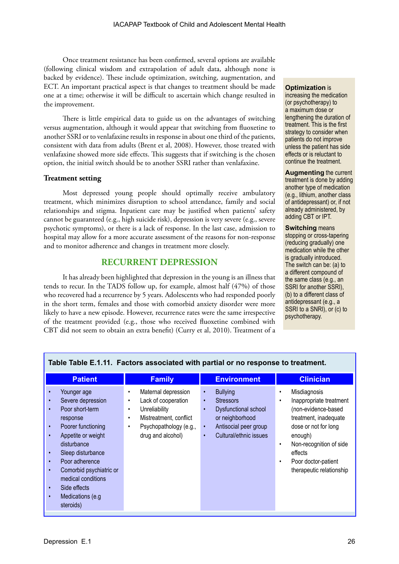Once treatment resistance has been confirmed, several options are available (following clinical wisdom and extrapolation of adult data, although none is backed by evidence). These include optimization, switching, augmentation, and ECT. An important practical aspect is that changes to treatment should be made one at a time; otherwise it will be difficult to ascertain which change resulted in the improvement.

There is little empirical data to guide us on the advantages of switching versus augmentation, although it would appear that switching from fluoxetine to another SSRI or to venlafaxine results in response in about one third of the patients, consistent with data from adults (Brent et al, 2008). However, those treated with venlafaxine showed more side effects. This suggests that if switching is the chosen option, the initial switch should be to another SSRI rather than venlafaxine.

#### **Treatment setting**

Most depressed young people should optimally receive ambulatory treatment, which minimizes disruption to school attendance, family and social relationships and stigma. Inpatient care may be justified when patients' safety cannot be guaranteed (e.g., high suicide risk), depression is very severe (e.g., severe psychotic symptoms), or there is a lack of response. In the last case, admission to hospital may allow for a more accurate assessment of the reasons for non-response and to monitor adherence and changes in treatment more closely.

## **RECURRENT DEPRESSION**

It has already been highlighted that depression in the young is an illness that tends to recur. In the TADS follow up, for example, almost half (47%) of those who recovered had a recurrence by 5 years. Adolescents who had responded poorly in the short term, females and those with comorbid anxiety disorder were more likely to have a new episode. However, recurrence rates were the same irrespective of the treatment provided (e.g., those who received fluoxetine combined with CBT did not seem to obtain an extra benefit) (Curry et al, 2010). Treatment of a

#### **Optimization** is increasing the medication (or psychotherapy) to a maximum dose or lengthening the duration of treatment. This is the first strategy to consider when patients do not improve unless the patient has side effects or is reluctant to continue the treatment.

**Augmenting** the current treatment is done by adding another type of medication (e.g., lithium, another class of antidepressant) or, if not already administered, by adding CBT or IPT.

**Switching** means stopping or cross-tapering (reducing gradually) one medication while the other is gradually introduced. The switch can be: (a) to a different compound of the same class (e.g., an SSRI for another SSRI), (b) to a different class of antidepressant (e.g., a SSRI to a SNRI), or (c) to psychotherapy.

|                                                                                                                                                                                                                                                                                                                                                                                                       | Table Table E.1.11. Factors associated with partial or no response to treatment.                                                                                                              |                                                                                                                                                                                                    |                                                                                                                                                                                                                                                                 |
|-------------------------------------------------------------------------------------------------------------------------------------------------------------------------------------------------------------------------------------------------------------------------------------------------------------------------------------------------------------------------------------------------------|-----------------------------------------------------------------------------------------------------------------------------------------------------------------------------------------------|----------------------------------------------------------------------------------------------------------------------------------------------------------------------------------------------------|-----------------------------------------------------------------------------------------------------------------------------------------------------------------------------------------------------------------------------------------------------------------|
| <b>Patient</b>                                                                                                                                                                                                                                                                                                                                                                                        | <b>Family</b>                                                                                                                                                                                 | <b>Environment</b>                                                                                                                                                                                 | <b>Clinician</b>                                                                                                                                                                                                                                                |
| Younger age<br>$\bullet$<br>Severe depression<br>$\bullet$<br>Poor short-term<br>$\bullet$<br>response<br>Poorer functioning<br>$\bullet$<br>Appetite or weight<br>$\bullet$<br>disturbance<br>Sleep disturbance<br>$\bullet$<br>Poor adherence<br>$\bullet$<br>Comorbid psychiatric or<br>$\bullet$<br>medical conditions<br>Side effects<br>$\bullet$<br>Medications (e.g<br>$\bullet$<br>steroids) | Maternal depression<br>$\bullet$<br>Lack of cooperation<br>$\bullet$<br>Unreliability<br>٠<br>Mistreatment, conflict<br>$\bullet$<br>Psychopathology (e.g.,<br>$\bullet$<br>drug and alcohol) | <b>Bullying</b><br>$\bullet$<br><b>Stressors</b><br>$\bullet$<br>Dysfunctional school<br>$\bullet$<br>or neighborhood<br>Antisocial peer group<br>$\bullet$<br>Cultural/ethnic issues<br>$\bullet$ | Misdiagnosis<br>٠<br>Inappropriate treatment<br>$\bullet$<br>(non-evidence-based<br>treatment, inadequate<br>dose or not for long<br>enough)<br>Non-recognition of side<br>$\bullet$<br>effects<br>Poor doctor-patient<br>$\bullet$<br>therapeutic relationship |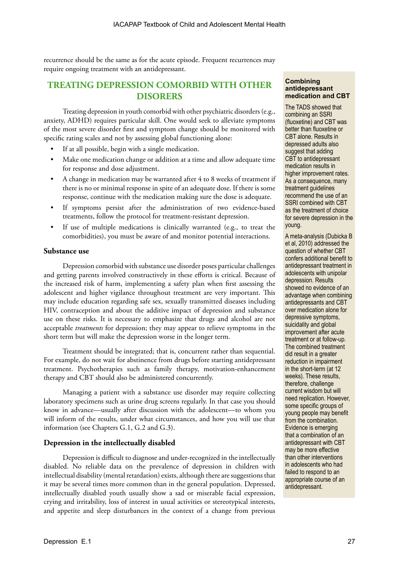recurrence should be the same as for the acute episode. Frequent recurrences may require ongoing treatment with an antidepressant.

## **TREATING DEPRESSION COMORBID WITH OTHER DISORERS**

Treating depression in youth comorbid with other psychiatric disorders (e.g., anxiety, ADHD) requires particular skill. One would seek to alleviate symptoms of the most severe disorder first and symptom change should be monitored with specific rating scales and not by assessing global functioning alone:

- If at all possible, begin with a single medication.
- Make one medication change or addition at a time and allow adequate time for response and dose adjustment.
- A change in medication may be warranted after 4 to 8 weeks of treatment if there is no or minimal response in spite of an adequate dose. If there is some response, continue with the medication making sure the dose is adequate.
- If symptoms persist after the administration of two evidence-based treatments, follow the protocol for treatment-resistant depression.
- If use of multiple medications is clinically warranted (e.g., to treat the comorbidities), you must be aware of and monitor potential interactions.

#### **Substance use**

Depression comorbid with substance use disorder poses particular challenges and getting parents involved constructively in these efforts is critical. Because of the increased risk of harm, implementing a safety plan when first assessing the adolescent and higher vigilance throughout treatment are very important. This may include education regarding safe sex, sexually transmitted diseases including HIV, contraception and about the additive impact of depression and substance use on these risks. It is necessary to emphasize that drugs and alcohol are not acceptable *treatments* for depression; they may appear to relieve symptoms in the short term but will make the depression worse in the longer term.

Treatment should be integrated; that is, concurrent rather than sequential. For example, do not wait for abstinence from drugs before starting antidepressant treatment. Psychotherapies such as family therapy, motivation-enhancement therapy and CBT should also be administered concurrently.

Managing a patient with a substance use disorder may require collecting laboratory specimens such as urine drug screens regularly. In that case you should know in advance—usually after discussion with the adolescent—to whom you will inform of the results, under what circumstances, and how you will use that information (see Chapters G.1, G.2 and G.3).

#### **Depression in the intellectually disabled**

Depression is difficult to diagnose and under-recognized in the intellectually disabled. No reliable data on the prevalence of depression in children with intellectual disability (mental retardation) exists, although there are suggestions that it may be several times more common than in the general population. Depressed, intellectually disabled youth usually show a sad or miserable facial expression, crying and irritability, loss of interest in usual activities or stereotypical interests, and appetite and sleep disturbances in the context of a change from previous

#### **Combining antidepressant medication and CBT**

The TADS showed that combining an SSRI (fluoxetine) and CBT was better than fluoxetine or CBT alone. Results in depressed adults also suggest that adding CBT to antidepressant medication results in higher improvement rates. As a consequence, many treatment guidelines recommend the use of an SSRI combined with CBT as the treatment of choice for severe depression in the young.

A meta-analysis (Dubicka B et al, 2010) addressed the question of whether CBT confers additional benefit to antidepressant treatment in adolescents with unipolar depression. Results showed no evidence of an advantage when combining antidepressants and CBT over medication alone for depressive symptoms, suicidality and global improvement after acute treatment or at follow-up. The combined treatment did result in a greater reduction in impairment in the short-term (at 12 weeks). These results, therefore, challenge current wisdom but will need replication. However, some specific groups of young people may benefit from the combination. Evidence is emerging that a combination of an antidepressant with CBT may be more effective than other interventions in adolescents who had failed to respond to an appropriate course of an antidepressant.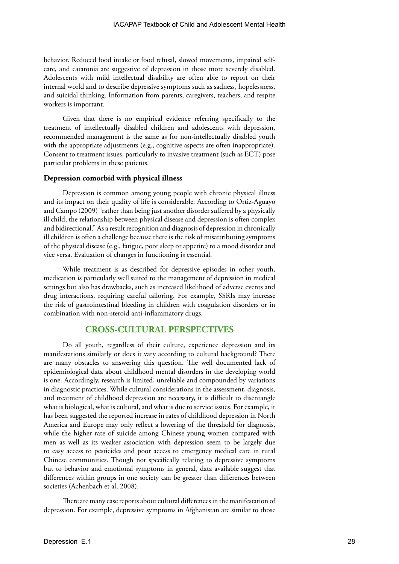behavior. Reduced food intake or food refusal, slowed movements, impaired selfcare, and catatonia are suggestive of depression in those more severely disabled. Adolescents with mild intellectual disability are often able to report on their internal world and to describe depressive symptoms such as sadness, hopelessness, and suicidal thinking. Information from parents, caregivers, teachers, and respite workers is important.

Given that there is no empirical evidence referring specifically to the treatment of intellectually disabled children and adolescents with depression, recommended management is the same as for non-intellectually disabled youth with the appropriate adjustments (e.g., cognitive aspects are often inappropriate). Consent to treatment issues, particularly to invasive treatment (such as ECT) pose particular problems in these patients.

#### **Depression comorbid with physical illness**

Depression is common among young people with chronic physical illness and its impact on their quality of life is considerable. According to Ortiz-Aguayo and Campo (2009) "rather than being just another disorder suffered by a physically ill child, the relationship between physical disease and depression is often complex and bidirectional." As a result recognition and diagnosis of depression in chronically ill children is often a challenge because there is the risk of misattributing symptoms of the physical disease (e.g., fatigue, poor sleep or appetite) to a mood disorder and vice versa. Evaluation of changes in functioning is essential.

While treatment is as described for depressive episodes in other youth, medication is particularly well suited to the management of depression in medical settings but also has drawbacks, such as increased likelihood of adverse events and drug interactions, requiring careful tailoring. For example, SSRIs may increase the risk of gastrointestinal bleeding in children with coagulation disorders or in combination with non-steroid anti-inflammatory drugs.

## **CROSS-CULTURAL PERSPECTIVES**

Do all youth, regardless of their culture, experience depression and its manifestations similarly or does it vary according to cultural background? There are many obstacles to answering this question. The well documented lack of epidemiological data about childhood mental disorders in the developing world is one. Accordingly, research is limited, unreliable and compounded by variations in diagnostic practices. While cultural considerations in the assessment, diagnosis, and treatment of childhood depression are necessary, it is difficult to disentangle what is biological, what is cultural, and what is due to service issues. For example, it has been suggested the reported increase in rates of childhood depression in North America and Europe may only reflect a lowering of the threshold for diagnosis, while the higher rate of suicide among Chinese young women compared with men as well as its weaker association with depression seem to be largely due to easy access to pesticides and poor access to emergency medical care in rural Chinese communities. Though not specifically relating to depressive symptoms but to behavior and emotional symptoms in general, data available suggest that differences within groups in one society can be greater than differences between societies (Achenbach et al, 2008).

There are many case reports about cultural differences in the manifestation of depression. For example, depressive symptoms in Afghanistan are similar to those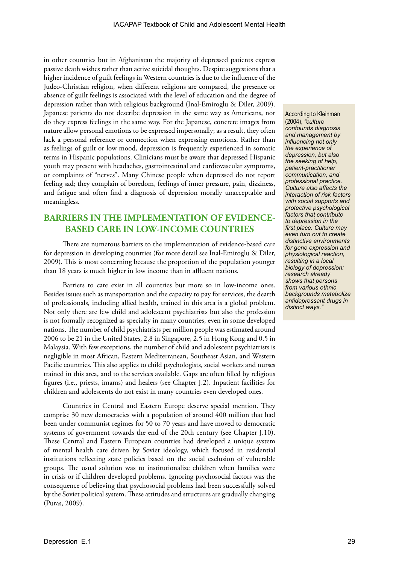in other countries but in Afghanistan the majority of depressed patients express passive death wishes rather than active suicidal thoughts. Despite suggestions that a higher incidence of guilt feelings in Western countries is due to the influence of the Judeo-Christian religion, when different religions are compared, the presence or absence of guilt feelings is associated with the level of education and the degree of depression rather than with religious background (Inal-Emiroglu & Diler, 2009). Japanese patients do not describe depression in the same way as Americans, nor do they express feelings in the same way. For the Japanese, concrete images from nature allow personal emotions to be expressed impersonally; as a result, they often lack a personal reference or connection when expressing emotions. Rather than as feelings of guilt or low mood, depression is frequently experienced in somatic terms in Hispanic populations. Clinicians must be aware that depressed Hispanic youth may present with headaches, gastrointestinal and cardiovascular symptoms, or complaints of "nerves". Many Chinese people when depressed do not report feeling sad; they complain of boredom, feelings of inner pressure, pain, dizziness, and fatigue and often find a diagnosis of depression morally unacceptable and meaningless.

## **BARRIERS IN THE IMPLEMENTATION OF EVIDENCE-BASED CARE IN LOW-INCOME COUNTRIES**

There are numerous barriers to the implementation of evidence-based care for depression in developing countries (for more detail see Inal-Emiroglu & Diler, 2009). This is most concerning because the proportion of the population younger than 18 years is much higher in low income than in affluent nations.

Barriers to care exist in all countries but more so in low-income ones. Besides issues such as transportation and the capacity to pay for services, the dearth of professionals, including allied health, trained in this area is a global problem. Not only there are few child and adolescent psychiatrists but also the profession is not formally recognized as specialty in many countries, even in some developed nations. The number of child psychiatrists per million people was estimated around 2006 to be 21 in the United States, 2.8 in Singapore, 2.5 in Hong Kong and 0.5 in Malaysia. With few exceptions, the number of child and adolescent psychiatrists is negligible in most African, Eastern Mediterranean, Southeast Asian, and Western Pacific countries. This also applies to child psychologists, social workers and nurses trained in this area, and to the services available. Gaps are often filled by religious figures (i.e., priests, imams) and healers (see Chapter J.2). Inpatient facilities for children and adolescents do not exist in many countries even developed ones.

Countries in Central and Eastern Europe deserve special mention. They comprise 30 new democracies with a population of around 400 million that had been under communist regimes for 50 to 70 years and have moved to democratic systems of government towards the end of the 20th century (see Chapter J.10). These Central and Eastern European countries had developed a unique system of mental health care driven by Soviet ideology, which focused in residential institutions reflecting state policies based on the social exclusion of vulnerable groups. The usual solution was to institutionalize children when families were in crisis or if children developed problems. Ignoring psychosocial factors was the consequence of believing that psychosocial problems had been successfully solved by the Soviet political system. These attitudes and structures are gradually changing (Puras, 2009).

According to Kleinman (2004), *"culture confounds diagnosis and management by influencing not only the experience of depression, but also the seeking of help, patient-practitioner communication, and professional practice. Culture also affects the interaction of risk factors with social supports and protective psychological factors that contribute to depression in the first place. Culture may even turn out to create distinctive environments for gene expression and physiological reaction, resulting in a local biology of depression: research already shows that persons from various ethnic backgrounds metabolize antidepressant drugs in distinct ways."*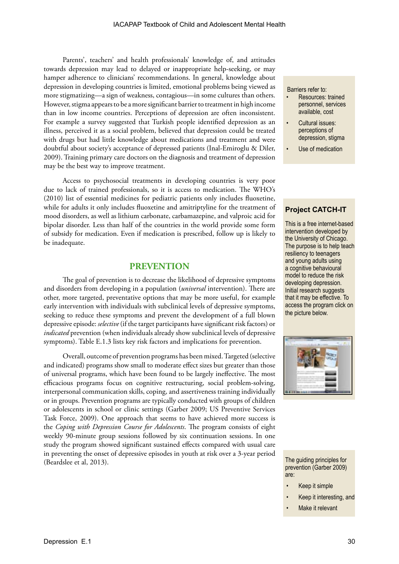Parents', teachers' and health professionals' knowledge of, and attitudes towards depression may lead to delayed or inappropriate help-seeking, or may hamper adherence to clinicians' recommendations. In general, knowledge about depression in developing countries is limited, emotional problems being viewed as more stigmatizing—a sign of weakness, contagious—in some cultures than others. However, stigma appears to be a more significant barrier to treatment in high income than in low income countries. Perceptions of depression are often inconsistent. For example a survey suggested that Turkish people identified depression as an illness, perceived it as a social problem, believed that depression could be treated with drugs but had little knowledge about medications and treatment and were doubtful about society's acceptance of depressed patients (Inal-Emiroglu & Diler, 2009). Training primary care doctors on the diagnosis and treatment of depression may be the best way to improve treatment.

Access to psychosocial treatments in developing countries is very poor due to lack of trained professionals, so it is access to medication. The WHO's (2010) list of essential medicines for pediatric patients only includes fluoxetine, while for adults it only includes fluoxetine and amitriptyline for the treatment of mood disorders, as well as lithium carbonate, carbamazepine, and valproic acid for bipolar disorder. Less than half of the countries in the world provide some form of subsidy for medication. Even if medication is prescribed, follow up is likely to be inadequate.

#### **PREVENTION**

The goal of prevention is to decrease the likelihood of depressive symptoms and disorders from developing in a population (*universal* intervention). There are other, more targeted, preventative options that may be more useful, for example early intervention with individuals with subclinical levels of depressive symptoms, seeking to reduce these symptoms and prevent the development of a full blown depressive episode: *selective* (if the target participants have significant risk factors) or *indicated* prevention (when individuals already show subclinical levels of depressive symptoms). Table E.1.3 lists key risk factors and implications for prevention.

Overall, outcome of prevention programs has been mixed. Targeted (selective and indicated) programs show small to moderate effect sizes but greater than those of universal programs, which have been found to be largely ineffective. The most efficacious programs focus on cognitive restructuring, social problem-solving, interpersonal communication skills, coping, and assertiveness training individually or in groups. Prevention programs are typically conducted with groups of children or adolescents in school or clinic settings (Garber 2009; US Preventive Services Task Force, 2009). One approach that seems to have achieved more success is the *Coping with Depression Course for Adolescents*. The program consists of eight weekly 90-minute group sessions followed by six continuation sessions. In one study the program showed significant sustained effects compared with usual care in preventing the onset of depressive episodes in youth at risk over a 3-year period (Beardslee et al, 2013). The guiding principles for

Barriers refer to:

- Resources: trained personnel, services available, cost
- Cultural issues: perceptions of depression, stigma
- Use of medication

#### **Project CATCH-IT**

This is a free internet-based intervention developed by the University of Chicago. The purpose is to help teach resiliency to teenagers and young adults using a cognitive behavioural model to reduce the risk developing depression. Initial research suggests that it may be effective. To access the program click on the picture below.

prevention (Garber 2009) are:

- Keep it simple
- Keep it interesting, and
- Make it relevant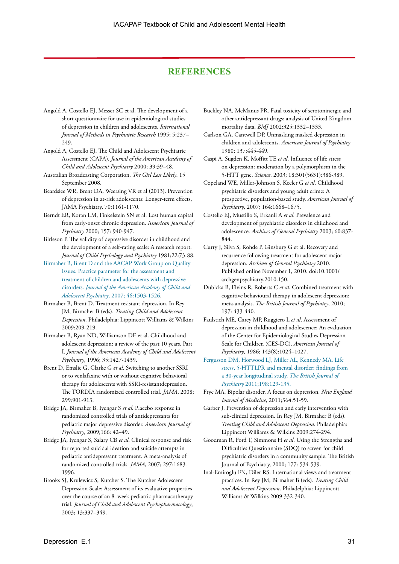## **REFERENCES**

- Angold A, Costello EJ, Messer SC et al. The development of a short questionnaire for use in epidemiological studies of depression in children and adolescents. *International Journal of Methods in Psychiatric Research* 1995; 5:237– 249.
- Angold A, Costello EJ. The Child and Adolescent Psychiatric Assessment (CAPA). *Journal of the American Academy of Child and Adolescent Psychiatry* 2000; 39:39–48.
- Australian Broadcasting Corporation. *The Girl Less Likely*. 15 September 2008.
- Beardslee WR, Brent DA, Weersing VR et al (2013). Prevention of depression in at-risk adolescents: Longer-term effects, JAMA Psychiatry, 70:1161-1170.
- Berndt ER, Koran LM, Finkelstein SN et al. Lost human capital from early-onset chronic depression. A*merican Journal of Psychiatry* 2000; 157: 940-947.
- Birleson P. The validity of depressive disorder in childhood and the development of a self-rating scale: A research report. *Journal of Child Psychology and Psychiatry* 1981;22:73-88.
- [Birmaher B, Brent D and the AACAP Work Group on Quality](http://www.aacap.org/galleries/PracticeParameters/InPress_2007_DepressiveDisorders.pdf)  [Issues. Practice parameter for the assessment and](http://www.aacap.org/galleries/PracticeParameters/InPress_2007_DepressiveDisorders.pdf)  [treatment of children and adolescents with depressive](http://www.aacap.org/galleries/PracticeParameters/InPress_2007_DepressiveDisorders.pdf)  disorders. *[Journal of the American Academy of Child and](http://www.aacap.org/galleries/PracticeParameters/InPress_2007_DepressiveDisorders.pdf)  Adolescent Psychiatry*[, 2007; 46:1503-1526.](http://www.aacap.org/galleries/PracticeParameters/InPress_2007_DepressiveDisorders.pdf)
- Birmaher B, Brent D. Treatment resistant depression. In Rey JM, Birmaher B (eds). *Treating Child and Adolescent Depression*. Philadelphia: Lippincott Williams & Wilkins 2009:209-219.
- Birmaher B, Ryan ND, Williamson DE et al. Childhood and adolescent depression: a review of the past 10 years. Part I. *Journal of the American Academy of Child and Adolescent Psychiatry*, 1996; 35:1427-1439.
- Brent D, Emslie G, Clarke G *et al*. Switching to another SSRI or to venlafaxine with or without cognitive behavioral therapy for adolescents with SSRI-resistantdepression. The TORDIA randomized controlled trial. *JAMA*, 2008; 299:901-913.
- Bridge JA, Birmaher B, Iyengar S *et al*. Placebo response in randomized controlled trials of antidepressants for pediatric major depressive disorder. *American Journal of Psychiatry*, 2009;166: 42–49.
- Bridge JA, Iyengar S, Salary CB *et al*. Clinical response and risk for reported suicidal ideation and suicide attempts in pediatric antidepressant treatment. A meta-analysis of randomized controlled trials. *JAMA*, 2007; 297:1683- 1996.
- Brooks SJ, Krulewicz S, Kutcher S. The Kutcher Adolescent Depression Scale: Assessment of its evaluative properties over the course of an 8–week pediatric pharmacotherapy trial. *Journal of Child and Adolescent Psychopharmacology*, 2003; 13:337–349.
- Buckley NA, McManus PR. Fatal toxicity of serotoninergic and other antidepressant drugs: analysis of United Kingdom mortality data. *BMJ* 2002;325:1332–1333.
- Carlson GA, Cantwell DP. Unmasking masked depression in children and adolescents. *American Journal of Psychiatry* 1980; 137:445-449.
- Caspi A, Sugden K, Moffitt TE *et al*. Influence of life stress on depression: moderation by a polymorphism in the 5-HTT gene. *Science*. 2003; 18;301(5631):386-389.
- Copeland WE, Miller-Johnson S, Keeler G *et al*. Childhood psychiatric disorders and young adult crime: A prospective, population-based study. *American Journal of Psychiatry*, 2007; 164:1668–1675.
- Costello EJ, Mustillo S, Erkanli A *et al*. Prevalence and development of psychiatric disorders in childhood and adolescence. *Archives of General Psychiatry* 2003; 60:837- 844.
- Curry J, Silva S, Rohde P, Ginsburg G et al. Recovery and recurrence following treatment for adolescent major depression. *Archives of General Psychiatry* 2010. Published online November 1, 2010. doi:10.1001/ archgenpsychiatry.2010.150.
- Dubicka B, Elvins R, Roberts C *et al*. Combined treatment with cognitive behavioural therapy in adolescent depression: meta-analysis. *The British Journal of Psychiatry*, 2010; 197: 433-440.
- Faulstich ME, Carey MP, Ruggiero L *et al*. Assessment of depression in childhood and adolescence: An evaluation of the Center for Epidemiological Studies Depression Scale for Children (CES-DC). *American Journal of Psychiatry*, 1986; 143(8):1024–1027.
- [Fergusson DM, Horwood LJ, Miller AL, Kennedy MA. Life]( http://bjp.rcpsych.org/cgi/content/abstract/198/2/129?etoc)  [stress, 5-HTTLPR and mental disorder: findings from]( http://bjp.rcpsych.org/cgi/content/abstract/198/2/129?etoc)  [a 30-year longitudinal study.]( http://bjp.rcpsych.org/cgi/content/abstract/198/2/129?etoc) *The British Journal of Psychiatry* [2011;198:129-135.]( http://bjp.rcpsych.org/cgi/content/abstract/198/2/129?etoc)
- Frye MA. Bipolar disorder. A focus on depression. *New England Journal of Medicine*, 2011;364:51-59.
- Garber J. Prevention of depression and early intervention with sub-clinical depression. In Rey JM, Birmaher B (eds). *Treating Child and Adolescent Depression*. Philadelphia: Lippincott Williams & Wilkins 2009:274-294.
- Goodman R, Ford T, Simmons H *et al*. Using the Strengths and Difficulties Questionnaire (SDQ) to screen for child psychiatric disorders in a community sample. The British Journal of Psychiatry, 2000; 177: 534-539.
- Inal-Emiroglu FN, Diler RS. International views and treatment practices. In Rey JM, Birmaher B (eds). *Treating Child and Adolescent Depression*. Philadelphia: Lippincott Williams & Wilkins 2009:332-340.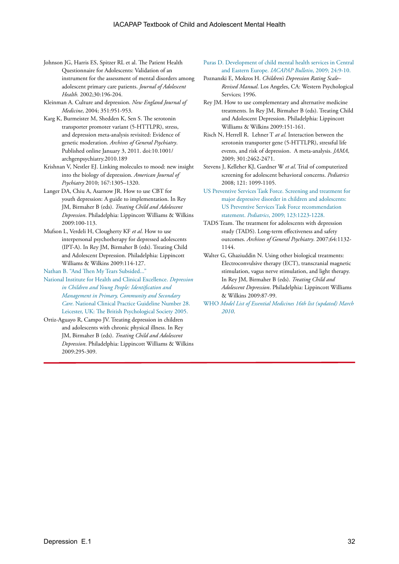- Johnson JG, Harris ES, Spitzer RL et al. The Patient Health Questionnaire for Adolescents: Validation of an instrument for the assessment of mental disorders among adolescent primary care patients. *Journal of Adolescent Health.* 2002;30:196-204.
- Kleinman A. Culture and depression. *New England Journal of Medicine*, 2004; 351:951-953.
- Karg K, Burmeister M, Shedden K, Sen S. The serotonin transporter promoter variant (5-HTTLPR), stress, and depression meta-analysis revisited: Evidence of genetic moderation. *Archives of General Psychiatry*. Published online January 3, 2011. doi:10.1001/ archgenpsychiatry.2010.189
- Krishnan V, Nestler EJ. Linking molecules to mood: new insight into the biology of depression. *American Journal of Psychiatry* 2010; 167:1305–1320.
- Langer DA, Chiu A, Asarnow JR. How to use CBT for youth depression: A guide to implementation. In Rey JM, Birmaher B (eds). *Treating Child and Adolescent Depression*. Philadelphia: Lippincott Williams & Wilkins 2009:100-113.
- Mufson L, Verdeli H, Clougherty KF *et al*. How to use interpersonal psychotherapy for depressed adolescents (IPT-A). In Rey JM, Birmaher B (eds). Treating Child and Adolescent Depression. Philadelphia: Lippincott Williams & Wilkins 2009:114-127.

[Nathan B. "And Then My Tears Subsided..."](http://www.blackdoginstitute.org.au/docs/AndThenMyTearsSubsided.pdf) 

- [National Institute for Health and Clinical Excellence.](http://www.nice.org.uk/nicemedia/pdf/cg028fullguideline.pdf) *Depression [in Children and Young People: Identification and](http://www.nice.org.uk/nicemedia/pdf/cg028fullguideline.pdf)  [Management in Primary, Community and Secondary](http://www.nice.org.uk/nicemedia/pdf/cg028fullguideline.pdf)  Care*[. National Clinical Practice Guideline Number 28.](http://www.nice.org.uk/nicemedia/pdf/cg028fullguideline.pdf)  [Leicester, UK: The British Psychological Society 2005.](http://www.nice.org.uk/nicemedia/pdf/cg028fullguideline.pdf)
- Ortiz-Aguayo R, Campo JV. Treating depression in children and adolescents with chronic physical illness. In Rey JM, Birmaher B (eds). *Treating Child and Adolescent Depression*. Philadelphia: Lippincott Williams & Wilkins 2009:295-309.

[Puras D. Development of child mental health services in Central](www.iacapap.org)  [and Eastern Europe.](www.iacapap.org) *IACAPAP Bulletin*, 2009; 24:9-10.

- Poznanski E, Mokros H. *Children's Depression Rating Scale– Revised Manual*. Los Angeles, CA: Western Psychological Services; 1996.
- Rey JM. How to use complementary and alternative medicine treatments. In Rey JM, Birmaher B (eds). Treating Child and Adolescent Depression. Philadelphia: Lippincott Williams & Wilkins 2009:151-161.
- Risch N, Herrell R. Lehner T *at al*. Interaction between the serotonin transporter gene (5-HTTLPR), stressful life events, and risk of depression. A meta-analysis. *JAMA*, 2009; 301:2462-2471.
- Stevens J, Kelleher KJ, Gardner W *et al*. Trial of computerized screening for adolescent behavioral concerns. *Pediatrics* 2008; 121: 1099-1105.
- [US Preventive Services Task Force. Screening and treatment for](http://pediatrics.aappublications.org/cgi/content/abstract/123/4/1223)  [major depressive disorder in children and adolescents:](http://pediatrics.aappublications.org/cgi/content/abstract/123/4/1223)  [US Preventive Services Task Force recommendation](http://pediatrics.aappublications.org/cgi/content/abstract/123/4/1223)  statement. *Pediatrics*[, 2009; 123:1223-1228.](http://pediatrics.aappublications.org/cgi/content/abstract/123/4/1223)
- TADS Team. The treatment for adolescents with depression study (TADS). Long-term effectiveness and safety outcomes. *Archives of General Psychiatry*. 2007;64:1132- 1144.
- Walter G, Ghaziuddin N. Using other biological treatments: Electroconvulsive therapy (ECT), transcranial magnetic stimulation, vagus nerve stimulation, and light therapy. In Rey JM, Birmaher B (eds). *Treating Child and Adolescent Depression*. Philadelphia: Lippincott Williams & Wilkins 2009:87-99.
- WHO *[Model List of Essential Medicines 16th list \(updated\) March](http://www.who.int/medicines/publications/essentialmedicines/en/)  [2010](http://www.who.int/medicines/publications/essentialmedicines/en/)*.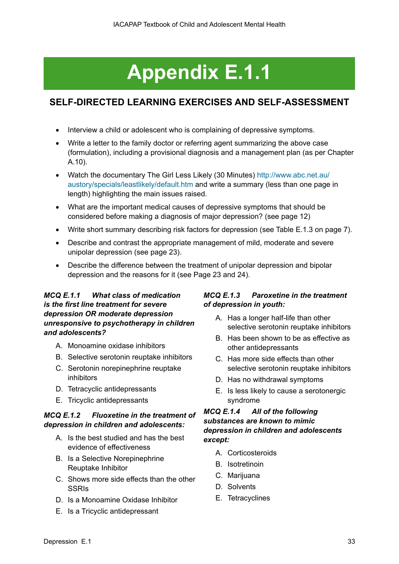# **Appendix E.1.1**

## **SELF-DIRECTED LEARNING EXERCISES AND SELF-ASSESSMENT**

- Interview a child or adolescent who is complaining of depressive symptoms.
- Write a letter to the family doctor or referring agent summarizing the above case (formulation), including a provisional diagnosis and a management plan (as per Chapter A.10).
- Watch the documentary The Girl Less Likely (30 Minutes) [http://www.abc.net.au/](http://www.abc.net.au/austory/specials/leastlikely/default.htm) [austory/specials/leastlikely/default.htm](http://www.abc.net.au/austory/specials/leastlikely/default.htm) and write a summary (less than one page in length) highlighting the main issues raised.
- What are the important medical causes of depressive symptoms that should be considered before making a diagnosis of major depression? (see page 12)
- Write short summary describing risk factors for depression (see Table E.1.3 on page 7).
- Describe and contrast the appropriate management of mild, moderate and severe unipolar depression (see page 23).
- Describe the difference between the treatment of unipolar depression and bipolar depression and the reasons for it (see Page 23 and 24).

## *MCQ E.1.1 What class of medication is the first line treatment for severe depression OR moderate depression unresponsive to psychotherapy in children and adolescents?*

- A. Monoamine oxidase inhibitors
- B. Selective serotonin reuptake inhibitors
- C. Serotonin norepinephrine reuptake inhibitors
- D. Tetracyclic antidepressants
- E. Tricyclic antidepressants

## *MCQ E.1.2 Fluoxetine in the treatment of depression in children and adolescents:*

- A. Is the best studied and has the best evidence of effectiveness
- B. Is a Selective Norepinephrine Reuptake Inhibitor
- C. Shows more side effects than the other **SSRIs**
- D. Is a Monoamine Oxidase Inhibitor
- E. Is a Tricyclic antidepressant

## *MCQ E.1.3 Paroxetine in the treatment of depression in youth:*

- A. Has a longer half-life than other selective serotonin reuptake inhibitors
- B. Has been shown to be as effective as other antidepressants
- C. Has more side effects than other selective serotonin reuptake inhibitors
- D. Has no withdrawal symptoms
- E. Is less likely to cause a serotonergic syndrome

## *MCQ E.1.4 All of the following substances are known to mimic depression in children and adolescents except:*

- A. Corticosteroids
- B. Isotretinoin
- C. Marijuana
- D. Solvents
- E. Tetracyclines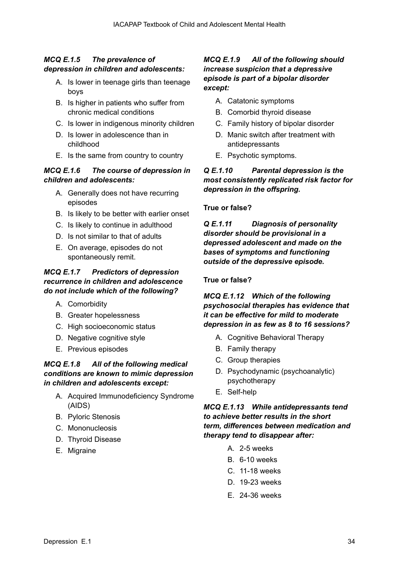## *MCQ E.1.5 The prevalence of depression in children and adolescents:*

- A. Is lower in teenage girls than teenage boys
- B. Is higher in patients who suffer from chronic medical conditions
- C. Is lower in indigenous minority children
- D. Is lower in adolescence than in childhood
- E. Is the same from country to country

## *MCQ E.1.6 The course of depression in children and adolescents:*

- A. Generally does not have recurring episodes
- B. Is likely to be better with earlier onset
- C. Is likely to continue in adulthood
- D. Is not similar to that of adults
- E. On average, episodes do not spontaneously remit.

## *MCQ E.1.7 Predictors of depression recurrence in children and adolescence do not include which of the following?*

- A. Comorbidity
- B. Greater hopelessness
- C. High socioeconomic status
- D. Negative cognitive style
- E. Previous episodes

## *MCQ E.1.8 All of the following medical conditions are known to mimic depression in children and adolescents except:*

- A. Acquired Immunodeficiency Syndrome (AIDS)
- B. Pyloric Stenosis
- C. Mononucleosis
- D. Thyroid Disease
- E. Migraine

## *MCQ E.1.9 All of the following should increase suspicion that a depressive episode is part of a bipolar disorder except:*

- A. Catatonic symptoms
- B. Comorbid thyroid disease
- C. Family history of bipolar disorder
- D. Manic switch after treatment with antidepressants
- E. Psychotic symptoms.

## *Q E.1.10 Parental depression is the most consistently replicated risk factor for depression in the offspring.*

## **True or false?**

*Q E.1.11 Diagnosis of personality disorder should be provisional in a depressed adolescent and made on the bases of symptoms and functioning outside of the depressive episode.*

## **True or false?**

## *MCQ E.1.12 Which of the following psychosocial therapies has evidence that it can be effective for mild to moderate depression in as few as 8 to 16 sessions?*

- A. Cognitive Behavioral Therapy
- B. Family therapy
- C. Group therapies
- D. Psychodynamic (psychoanalytic) psychotherapy
- E. Self-help

## *MCQ E.1.13 While antidepressants tend to achieve better results in the short term, differences between medication and therapy tend to disappear after:*

- A. 2-5 weeks
- B. 6-10 weeks
- C. 11-18 weeks
- D. 19-23 weeks
- E. 24-36 weeks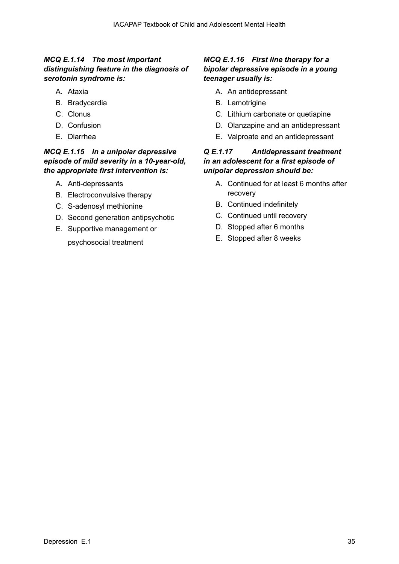## *MCQ E.1.14 The most important distinguishing feature in the diagnosis of serotonin syndrome is:*

- A. Ataxia
- B. Bradycardia
- C. Clonus
- D. Confusion
- E. Diarrhea

## *MCQ E.1.15 In a unipolar depressive episode of mild severity in a 10-year-old, the appropriate first intervention is:*

- A. Anti-depressants
- B. Electroconvulsive therapy
- C. S-adenosyl methionine
- D. Second generation antipsychotic
- E. Supportive management or

psychosocial treatment

## *MCQ E.1.16 First line therapy for a bipolar depressive episode in a young teenager usually is:*

- A. An antidepressant
- B. Lamotrigine
- C. Lithium carbonate or quetiapine
- D. Olanzapine and an antidepressant
- E. Valproate and an antidepressant

## *Q E.1.17 Antidepressant treatment in an adolescent for a first episode of unipolar depression should be:*

- A. Continued for at least 6 months after recovery
- B. Continued indefinitely
- C. Continued until recovery
- D. Stopped after 6 months
- E. Stopped after 8 weeks